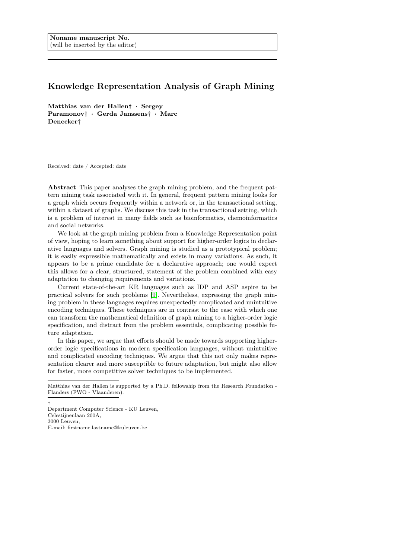# Knowledge Representation Analysis of Graph Mining

Matthias van der Hallen† · Sergey Paramonov† · Gerda Janssens† · Marc Denecker†

Received: date / Accepted: date

Abstract This paper analyses the graph mining problem, and the frequent pattern mining task associated with it. In general, frequent pattern mining looks for a graph which occurs frequently within a network or, in the transactional setting, within a dataset of graphs. We discuss this task in the transactional setting, which is a problem of interest in many fields such as bioinformatics, chemoinformatics and social networks.

We look at the graph mining problem from a Knowledge Representation point of view, hoping to learn something about support for higher-order logics in declarative languages and solvers. Graph mining is studied as a prototypical problem; it is easily expressible mathematically and exists in many variations. As such, it appears to be a prime candidate for a declarative approach; one would expect this allows for a clear, structured, statement of the problem combined with easy adaptation to changing requirements and variations.

Current state-of-the-art KR languages such as IDP and ASP aspire to be practical solvers for such problems [\[9\]](#page-39-0). Nevertheless, expressing the graph mining problem in these languages requires unexpectedly complicated and unintuitive encoding techniques. These techniques are in contrast to the ease with which one can transform the mathematical definition of graph mining to a higher-order logic specification, and distract from the problem essentials, complicating possible future adaptation.

In this paper, we argue that efforts should be made towards supporting higherorder logic specifications in modern specification languages, without unintuitive and complicated encoding techniques. We argue that this not only makes representation clearer and more susceptible to future adaptation, but might also allow for faster, more competitive solver techniques to be implemented.

Matthias van der Hallen is supported by a Ph.D. fellowship from the Research Foundation - Flanders (FWO - Vlaanderen).

<sup>†</sup> Department Computer Science - KU Leuven, Celestijnenlaan 200A, 3000 Leuven, E-mail: firstname.lastname@kuleuven.be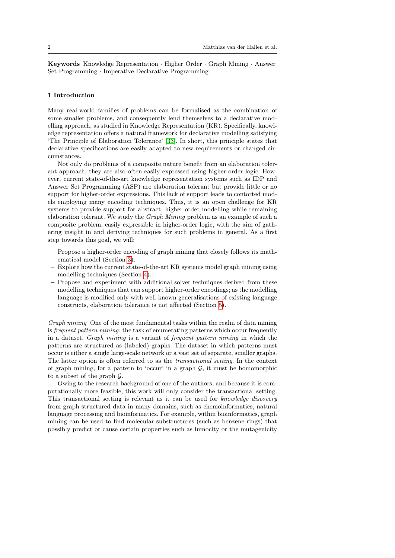Keywords Knowledge Representation · Higher Order · Graph Mining · Answer Set Programming · Imperative Declarative Programming

#### 1 Introduction

Many real-world families of problems can be formalised as the combination of some smaller problems, and consequently lend themselves to a declarative modelling approach, as studied in Knowledge Representation (KR). Specifically, knowledge representation offers a natural framework for declarative modelling satisfying 'The Principle of Elaboration Tolerance' [\[33\]](#page-40-0). In short, this principle states that declarative specifications are easily adapted to new requirements or changed circumstances.

Not only do problems of a composite nature benefit from an elaboration tolerant approach, they are also often easily expressed using higher-order logic. However, current state-of-the-art knowledge representation systems such as IDP and Answer Set Programming (ASP) are elaboration tolerant but provide little or no support for higher-order expressions. This lack of support leads to contorted models employing many encoding techniques. Thus, it is an open challenge for KR systems to provide support for abstract, higher-order modelling while remaining elaboration tolerant. We study the Graph Mining problem as an example of such a composite problem, easily expressible in higher-order logic, with the aim of gathering insight in and deriving techniques for such problems in general. As a first step towards this goal, we will:

- Propose a higher-order encoding of graph mining that closely follows its mathematical model (Section [3\)](#page-6-0).
- Explore how the current state-of-the-art KR systems model graph mining using modelling techniques (Section [4\)](#page-11-0).
- Propose and experiment with additional solver techniques derived from these modelling techniques that can support higher-order encodings; as the modelling language is modified only with well-known generalisations of existing language constructs, elaboration tolerance is not affected (Section [5\)](#page-27-0).

Graph mining One of the most fundamental tasks within the realm of data mining is frequent pattern mining: the task of enumerating patterns which occur frequently in a dataset. Graph mining is a variant of frequent pattern mining in which the patterns are structured as (labeled) graphs. The dataset in which patterns must occur is either a single large-scale network or a vast set of separate, smaller graphs. The latter option is often referred to as the transactional setting. In the context of graph mining, for a pattern to 'occur' in a graph  $G$ , it must be homomorphic to a subset of the graph  $\mathcal{G}$ .

Owing to the research background of one of the authors, and because it is computationally more feasible, this work will only consider the transactional setting. This transactional setting is relevant as it can be used for knowledge discovery from graph structured data in many domains, such as chemoinformatics, natural language processing and bioinformatics. For example, within bioinformatics, graph mining can be used to find molecular substructures (such as benzene rings) that possibly predict or cause certain properties such as lumocity or the mutagenicity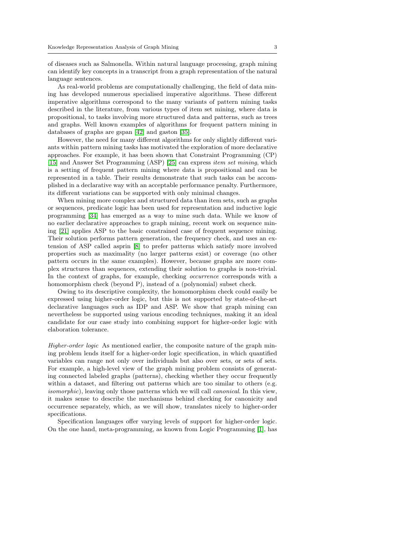of diseases such as Salmonella. Within natural language processing, graph mining can identify key concepts in a transcript from a graph representation of the natural language sentences.

As real-world problems are computationally challenging, the field of data mining has developed numerous specialised imperative algorithms. These different imperative algorithms correspond to the many variants of pattern mining tasks described in the literature, from various types of item set mining, where data is propositional, to tasks involving more structured data and patterns, such as trees and graphs. Well known examples of algorithms for frequent pattern mining in databases of graphs are gspan [\[42\]](#page-41-0) and gaston [\[35\]](#page-40-1).

However, the need for many different algorithms for only slightly different variants within pattern mining tasks has motivated the exploration of more declarative approaches. For example, it has been shown that Constraint Programming (CP) [\[15\]](#page-39-1) and Answer Set Programming (ASP) [\[25\]](#page-40-2) can express item set mining, which is a setting of frequent pattern mining where data is propositional and can be represented in a table. Their results demonstrate that such tasks can be accomplished in a declarative way with an acceptable performance penalty. Furthermore, its different variations can be supported with only minimal changes.

When mining more complex and structured data than item sets, such as graphs or sequences, predicate logic has been used for representation and inductive logic programming [\[34\]](#page-40-3) has emerged as a way to mine such data. While we know of no earlier declarative approaches to graph mining, recent work on sequence mining [\[21\]](#page-40-4) applies ASP to the basic constrained case of frequent sequence mining. Their solution performs pattern generation, the frequency check, and uses an extension of ASP called asprin [\[8\]](#page-39-2) to prefer patterns which satisfy more involved properties such as maximality (no larger patterns exist) or coverage (no other pattern occurs in the same examples). However, because graphs are more complex structures than sequences, extending their solution to graphs is non-trivial. In the context of graphs, for example, checking occurrence corresponds with a homomorphism check (beyond P), instead of a (polynomial) subset check.

Owing to its descriptive complexity, the homomorphism check could easily be expressed using higher-order logic, but this is not supported by state-of-the-art declarative languages such as IDP and ASP. We show that graph mining can nevertheless be supported using various encoding techniques, making it an ideal candidate for our case study into combining support for higher-order logic with elaboration tolerance.

Higher-order logic As mentioned earlier, the composite nature of the graph mining problem lends itself for a higher-order logic specification, in which quantified variables can range not only over individuals but also over sets, or sets of sets. For example, a high-level view of the graph mining problem consists of generating connected labeled graphs (patterns), checking whether they occur frequently within a dataset, and filtering out patterns which are too similar to others (e.g. isomorphic), leaving only those patterns which we will call canonical. In this view, it makes sense to describe the mechanisms behind checking for canonicity and occurrence separately, which, as we will show, translates nicely to higher-order specifications.

Specification languages offer varying levels of support for higher-order logic. On the one hand, meta-programming, as known from Logic Programming [\[1\]](#page-39-3), has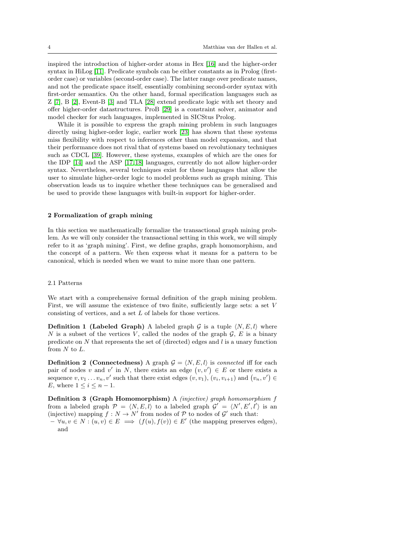inspired the introduction of higher-order atoms in Hex [\[16\]](#page-39-4) and the higher-order syntax in HiLog [\[11\]](#page-39-5). Predicate symbols can be either constants as in Prolog (firstorder case) or variables (second-order case). The latter range over predicate names, and not the predicate space itself, essentially combining second-order syntax with first-order semantics. On the other hand, formal specification languages such as Z [\[7\]](#page-39-6), B [\[2\]](#page-39-7), Event-B [\[3\]](#page-39-8) and TLA [\[28\]](#page-40-5) extend predicate logic with set theory and offer higher-order datastructures. ProB [\[29\]](#page-40-6) is a constraint solver, animator and model checker for such languages, implemented in SICStus Prolog.

While it is possible to express the graph mining problem in such languages directly using higher-order logic, earlier work [\[23\]](#page-40-7) has shown that these systems miss flexibility with respect to inferences other than model expansion, and that their performance does not rival that of systems based on revolutionary techniques such as CDCL [\[39\]](#page-41-1). However, these systems, examples of which are the ones for the IDP [\[14\]](#page-39-9) and the ASP [\[17,](#page-39-10) [18\]](#page-39-11) languages, currently do not allow higher-order syntax. Nevertheless, several techniques exist for these languages that allow the user to simulate higher-order logic to model problems such as graph mining. This observation leads us to inquire whether these techniques can be generalised and be used to provide these languages with built-in support for higher-order.

### <span id="page-3-1"></span>2 Formalization of graph mining

In this section we mathematically formalize the transactional graph mining problem. As we will only consider the transactional setting in this work, we will simply refer to it as 'graph mining'. First, we define graphs, graph homomorphism, and the concept of a pattern. We then express what it means for a pattern to be canonical, which is needed when we want to mine more than one pattern.

### 2.1 Patterns

We start with a comprehensive formal definition of the graph mining problem. First, we will assume the existence of two finite, sufficiently large sets: a set V consisting of vertices, and a set L of labels for those vertices.

**Definition 1 (Labeled Graph)** A labeled graph G is a tuple  $\langle N, E, l \rangle$  where N is a subset of the vertices V, called the nodes of the graph  $\mathcal{G}, E$  is a binary predicate on  $N$  that represents the set of (directed) edges and  $l$  is a unary function from  $N$  to  $L$ .

**Definition 2 (Connectedness)** A graph  $\mathcal{G} = \langle N, E, l \rangle$  is *connected* iff for each pair of nodes v and v' in N, there exists an edge  $(v, v') \in E$  or there exists a sequence  $v, v_1 \ldots v_n, v'$  such that there exist edges  $(v, v_1), (v_i, v_{i+1})$  and  $(v_n, v') \in$ E, where  $1 \leq i \leq n-1$ .

<span id="page-3-0"></span>Definition 3 (Graph Homomorphism) A (injective) graph homomorphism f from a labeled graph  $\mathcal{P} = \langle N, E, l \rangle$  to a labeled graph  $\mathcal{G}' = \langle N', E', l' \rangle$  is an (injective) mapping  $f : N \to N'$  from nodes of  $P$  to nodes of  $\mathcal{G}'$  such that:

 $-\forall u, v \in N : (u, v) \in E \implies (f(u), f(v)) \in E'$  (the mapping preserves edges), and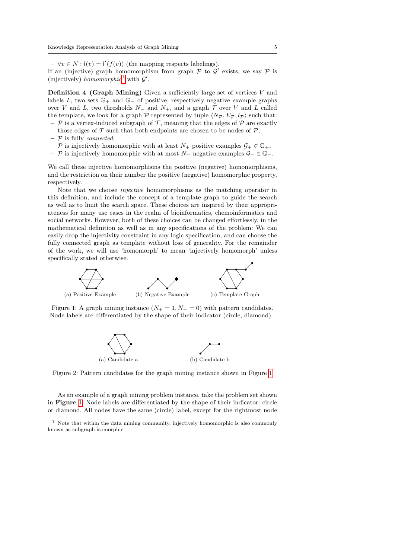$-\forall v \in N : l(v) = l'(f(v))$  (the mapping respects labelings). If an (injective) graph homomorphism from graph  $P$  to  $G'$  exists, we say  $P$  is (injectively) homomorphic<sup>[1](#page-4-0)</sup> with  $\mathcal{G}'$ .

<span id="page-4-7"></span>**Definition 4 (Graph Mining)** Given a sufficiently large set of vertices  $V$  and labels L, two sets  $\mathbb{G}_+$  and  $\mathbb{G}_-$  of positive, respectively negative example graphs over V and L, two thresholds  $N_-$  and  $N_+$ , and a graph  $\mathcal T$  over V and L called the template, we look for a graph  $P$  represented by tuple  $\langle N_P, E_P, l_P \rangle$  such that: –  $P$  is a vertex-induced subgraph of  $T$ , meaning that the edges of  $P$  are exactly

those edges of  $\mathcal T$  such that both endpoints are chosen to be nodes of  $\mathcal P$ ,

- $-$  P is fully *connected*.
- $\mathcal P$  is injectively homomorphic with at least  $N_+$  positive examples  $\mathcal G_+ \in \mathbb G_+$ ,
- $\mathcal{P}$  is injectively homomorphic with at most N− negative examples  $\mathcal{G}_- \in \mathbb{G}_-$ .

We call these injective homomorphisms the positive (negative) homomorphisms, and the restriction on their number the positive (negative) homomorphic property, respectively.

Note that we choose injective homomorphisms as the matching operator in this definition, and include the concept of a template graph to guide the search as well as to limit the search space. These choices are inspired by their appropriateness for many use cases in the realm of bioinformatics, chemoinformatics and social networks. However, both of these choices can be changed effortlessly, in the mathematical definition as well as in any specifications of the problem: We can easily drop the injectivity constraint in any logic specification, and can choose the fully connected graph as template without loss of generality. For the remainder of the work, we will use 'homomorph' to mean 'injectively homomorph' unless specifically stated otherwise.

<span id="page-4-4"></span><span id="page-4-1"></span>

Figure 1: A graph mining instance  $(N_{+} = 1, N_{-} = 0)$  with pattern candidates. Node labels are differentiated by the shape of their indicator (circle, diamond).

<span id="page-4-6"></span><span id="page-4-5"></span><span id="page-4-3"></span><span id="page-4-2"></span>

Figure 2: Pattern candidates for the graph mining instance shown in Figure [1](#page-4-1)

As an example of a graph mining problem instance, take the problem set shown in Figure [1.](#page-4-1) Node labels are differentiated by the shape of their indicator: circle or diamond. All nodes have the same (circle) label, except for the rightmost node

<span id="page-4-0"></span> $^{\rm 1}$  Note that within the data mining community, injectively homomorphic is also commonly known as subgraph isomorphic.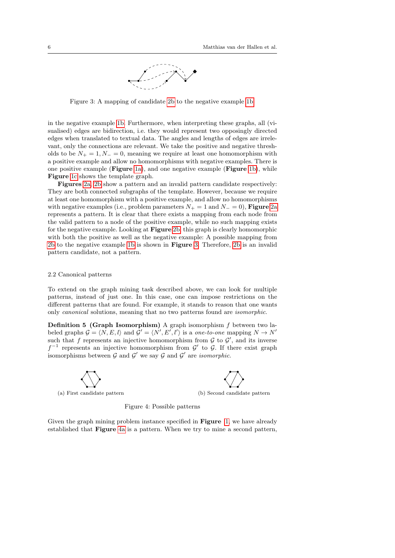

<span id="page-5-0"></span>Figure 3: A mapping of candidate [2b](#page-4-2) to the negative example [1b.](#page-4-3)

in the negative example [1b.](#page-4-3) Furthermore, when interpreting these graphs, all (visualised) edges are bidirection, i.e. they would represent two opposingly directed edges when translated to textual data. The angles and lengths of edges are irrelevant, only the connections are relevant. We take the positive and negative thresholds to be  $N_+ = 1, N_- = 0$ , meaning we require at least one homomorphism with a positive example and allow no homomorphisms with negative examples. There is one positive example (Figure [1a\)](#page-4-4), and one negative example (Figure [1b\)](#page-4-3), while Figure [1c](#page-4-5) shows the template graph.

Figures [2a,](#page-4-6) [2b](#page-4-2) show a pattern and an invalid pattern candidate respectively: They are both connected subgraphs of the template. However, because we require at least one homomorphism with a positive example, and allow no homomorphisms with negative examples (i.e., problem parameters  $N_+ = 1$  and  $N_- = 0$ ), Figure [2a](#page-4-6) represents a pattern. It is clear that there exists a mapping from each node from the valid pattern to a node of the positive example, while no such mapping exists for the negative example. Looking at Figure [2b,](#page-4-2) this graph is clearly homomorphic with both the positive as well as the negative example: A possible mapping from [2b](#page-4-2) to the negative example [1b](#page-4-3) is shown in Figure [3.](#page-5-0) Therefore, [2b](#page-4-2) is an invalid pattern candidate, not a pattern.

#### 2.2 Canonical patterns

To extend on the graph mining task described above, we can look for multiple patterns, instead of just one. In this case, one can impose restrictions on the different patterns that are found. For example, it stands to reason that one wants only canonical solutions, meaning that no two patterns found are isomorphic.

Definition 5 (Graph Isomorphism) A graph isomorphism f between two labeled graphs  $G = \langle N, E, l \rangle$  and  $G' = \langle N', E', l' \rangle$  is a *one-to-one* mapping  $N \to N'$ such that f represents an injective homomorphism from  $G$  to  $G'$ , and its inverse  $f^{-1}$  represents an injective homomorphism from  $\mathcal{G}'$  to  $\mathcal{G}$ . If there exist graph isomorphisms between  $G$  and  $G'$  we say  $G$  and  $G'$  are *isomorphic*.



<span id="page-5-1"></span>(a) First candidate pattern (b) Second candidate pattern

<span id="page-5-2"></span>

Figure 4: Possible patterns

Given the graph mining problem instance specified in **Figure** [1,](#page-4-1) we have already established that Figure [4a](#page-5-1) is a pattern. When we try to mine a second pattern,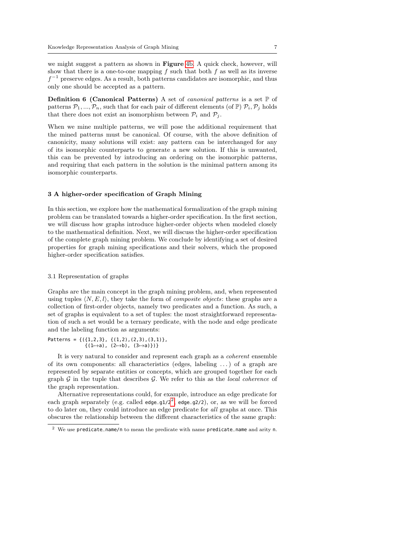we might suggest a pattern as shown in Figure [4b.](#page-5-2) A quick check, however, will show that there is a one-to-one mapping  $f$  such that both  $f$  as well as its inverse  $f^{-1}$  preserve edges. As a result, both patterns candidates are isomorphic, and thus only one should be accepted as a pattern.

**Definition 6 (Canonical Patterns)** A set of *canonical patterns* is a set  $\mathbb{P}$  of patterns  $P_1, ..., P_n$ , such that for each pair of different elements (of  $\mathbb{P}$ )  $P_i$ ,  $P_j$  holds that there does not exist an isomorphism between  $\mathcal{P}_i$  and  $\mathcal{P}_i$ .

When we mine multiple patterns, we will pose the additional requirement that the mined patterns must be canonical. Of course, with the above definition of canonicity, many solutions will exist: any pattern can be interchanged for any of its isomorphic counterparts to generate a new solution. If this is unwanted, this can be prevented by introducing an ordering on the isomorphic patterns, and requiring that each pattern in the solution is the minimal pattern among its isomorphic counterparts.

### <span id="page-6-0"></span>3 A higher-order specification of Graph Mining

In this section, we explore how the mathematical formalization of the graph mining problem can be translated towards a higher-order specification. In the first section, we will discuss how graphs introduce higher-order objects when modeled closely to the mathematical definition. Next, we will discuss the higher-order specification of the complete graph mining problem. We conclude by identifying a set of desired properties for graph mining specifications and their solvers, which the proposed higher-order specification satisfies.

#### 3.1 Representation of graphs

Graphs are the main concept in the graph mining problem, and, when represented using tuples  $\langle N, E, l \rangle$ , they take the form of *composite objects*: these graphs are a collection of first-order objects, namely two predicates and a function. As such, a set of graphs is equivalent to a set of tuples: the most straightforward representation of such a set would be a ternary predicate, with the node and edge predicate and the labeling function as arguments:

$$
Patterns = \{ (\{1,2,3\}, \{(1,2), (2,3), (3,1)\}, \\ \{ (1 \mapsto a), (2 \mapsto b), (3 \mapsto a) \}) \}
$$

It is very natural to consider and represent each graph as a coherent ensemble of its own components: all characteristics (edges, labeling . . . ) of a graph are represented by separate entities or concepts, which are grouped together for each graph  $G$  in the tuple that describes  $G$ . We refer to this as the *local coherence* of the graph representation.

Alternative representations could, for example, introduce an edge predicate for each graph separately (e.g. called edge\_g1/[2](#page-6-1)<sup>2</sup>, edge\_g2/2), or, as we will be forced to do later on, they could introduce an edge predicate for all graphs at once. This obscures the relationship between the different characteristics of the same graph:

<span id="page-6-1"></span> $2$  We use predicate\_name/n to mean the predicate with name predicate\_name and arity n.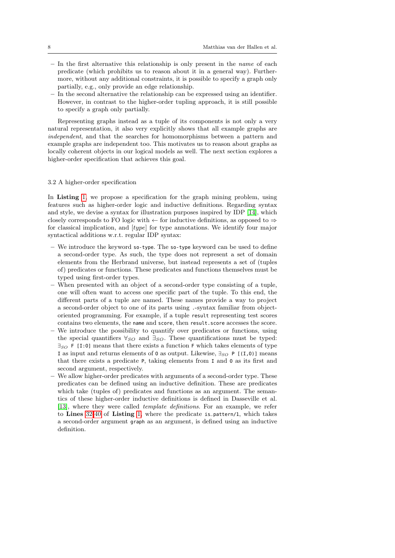- In the first alternative this relationship is only present in the name of each predicate (which prohibits us to reason about it in a general way). Furthermore, without any additional constraints, it is possible to specify a graph only partially, e.g., only provide an edge relationship.
- In the second alternative the relationship can be expressed using an identifier. However, in contrast to the higher-order tupling approach, it is still possible to specify a graph only partially.

Representing graphs instead as a tuple of its components is not only a very natural representation, it also very explicitly shows that all example graphs are independent, and that the searches for homomorphisms between a pattern and example graphs are independent too. This motivates us to reason about graphs as locally coherent objects in our logical models as well. The next section explores a higher-order specification that achieves this goal.

### 3.2 A higher-order specification

In Listing [1,](#page-10-0) we propose a specification for the graph mining problem, using features such as higher-order logic and inductive definitions. Regarding syntax and style, we devise a syntax for illustration purposes inspired by IDP [\[14\]](#page-39-9), which closely corresponds to FO logic with  $\leftarrow$  for inductive definitions, as opposed to  $\Rightarrow$ for classical implication, and [type] for type annotations. We identify four major syntactical additions w.r.t. regular IDP syntax:

- We introduce the keyword so-type. The so-type keyword can be used to define a second-order type. As such, the type does not represent a set of domain elements from the Herbrand universe, but instead represents a set of (tuples of) predicates or functions. These predicates and functions themselves must be typed using first-order types.
- When presented with an object of a second-order type consisting of a tuple, one will often want to access one specific part of the tuple. To this end, the different parts of a tuple are named. These names provide a way to project a second-order object to one of its parts using .-syntax familiar from objectoriented programming. For example, if a tuple result representing test scores contains two elements, the name and score, then result.score accesses the score.
- We introduce the possibility to quantify over predicates or functions, using the special quantifiers  $\forall s_{\Omega}$  and  $\exists s_{\Omega}$ . These quantifications must be typed:  $\exists_{SO}$  F [I:0] means that there exists a function F which takes elements of type I as input and returns elements of 0 as output. Likewise,  $\exists s \circ P$  [(I,0)] means that there exists a predicate P, taking elements from I and O as its first and second argument, respectively.
- We allow higher-order predicates with arguments of a second-order type. These predicates can be defined using an inductive definition. These are predicates which take (tuples of) predicates and functions as an argument. The semantics of these higher-order inductive definitions is defined in Dasseville et al. [\[13\]](#page-39-12), where they were called template definitions. For an example, we refer to Lines [32-](#page-10-1)[40](#page-10-2) of Listing [1,](#page-10-0) where the predicate is\_pattern/1, which takes a second-order argument graph as an argument, is defined using an inductive definition.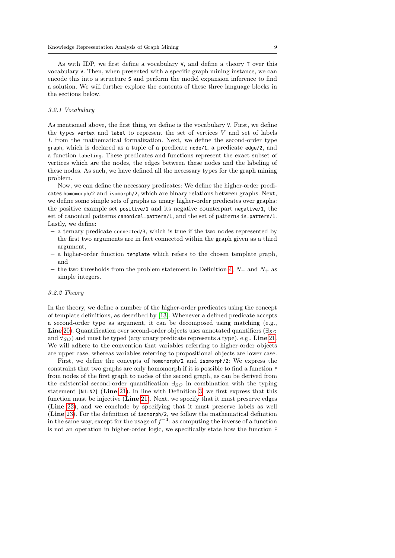As with IDP, we first define a vocabulary V, and define a theory T over this vocabulary V. Then, when presented with a specific graph mining instance, we can encode this into a structure S and perform the model expansion inference to find a solution. We will further explore the contents of these three language blocks in the sections below.

#### 3.2.1 Vocabulary

As mentioned above, the first thing we define is the vocabulary V. First, we define the types vertex and label to represent the set of vertices  $V$  and set of labels L from the mathematical formalization. Next, we define the second-order type graph, which is declared as a tuple of a predicate node/1, a predicate edge/2, and a function labeling. These predicates and functions represent the exact subset of vertices which are the nodes, the edges between these nodes and the labeling of these nodes. As such, we have defined all the necessary types for the graph mining problem.

Now, we can define the necessary predicates: We define the higher-order predicates homomorph/2 and isomorph/2, which are binary relations between graphs. Next, we define some simple sets of graphs as unary higher-order predicates over graphs: the positive example set positive/1 and its negative counterpart negative/1, the set of canonical patterns canonical\_pattern/1, and the set of patterns is\_pattern/1. Lastly, we define:

- a ternary predicate connected/3, which is true if the two nodes represented by the first two arguments are in fact connected within the graph given as a third argument,
- a higher-order function template which refers to the chosen template graph, and
- the two thresholds from the problem statement in Definition [4,](#page-4-7)  $N_-\,$  and  $N_+\,$  as simple integers.

### 3.2.2 Theory

In the theory, we define a number of the higher-order predicates using the concept of template definitions, as described by [\[13\]](#page-39-12). Whenever a defined predicate accepts a second-order type as argument, it can be decomposed using matching (e.g., Line [20\)](#page-10-3). Quantification over second-order objects uses annotated quantifiers ( $\exists_{SO}$ and  $\forall s_O$ ) and must be typed (any unary predicate represents a type), e.g., Line [21.](#page-10-4) We will adhere to the convention that variables referring to higher-order objects are upper case, whereas variables referring to propositional objects are lower case.

First, we define the concepts of homomorph/2 and isomorph/2: We express the constraint that two graphs are only homomorph if it is possible to find a function F from nodes of the first graph to nodes of the second graph, as can be derived from the existential second-order quantification  $\exists_{SO}$  in combination with the typing statement [N1:N2] (Line [21\)](#page-10-4). In line with Definition [3,](#page-3-0) we first express that this function must be injective (Line [21\)](#page-10-4). Next, we specify that it must preserve edges (Line [22\)](#page-10-5), and we conclude by specifying that it must preserve labels as well (Line [23\)](#page-10-6). For the definition of isomorph/2, we follow the mathematical definition in the same way, except for the usage of  $f^{-1}$ : as computing the inverse of a function is not an operation in higher-order logic, we specifically state how the function F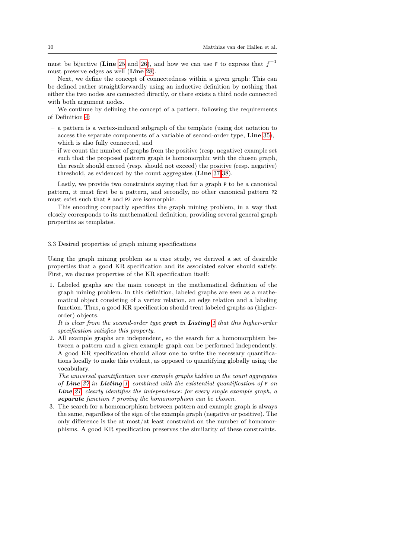must be bijective (Line [25](#page-10-7) and [26\)](#page-10-8), and how we can use F to express that  $f^{-1}$ must preserve edges as well (Line [28\)](#page-10-9).

Next, we define the concept of connectedness within a given graph: This can be defined rather straightforwardly using an inductive definition by nothing that either the two nodes are connected directly, or there exists a third node connected with both argument nodes.

We continue by defining the concept of a pattern, following the requirements of Definition [4:](#page-4-7)

- a pattern is a vertex-induced subgraph of the template (using dot notation to access the separate components of a variable of second-order type, Line [35\)](#page-10-10),
- which is also fully connected, and
- if we count the number of graphs from the positive (resp. negative) example set such that the proposed pattern graph is homomorphic with the chosen graph, the result should exceed (resp. should not exceed) the positive (resp. negative) threshold, as evidenced by the count aggregates (Line [37-](#page-10-11)[38\)](#page-10-12).

Lastly, we provide two constraints saying that for a graph P to be a canonical pattern, it must first be a pattern, and secondly, no other canonical pattern P2 must exist such that P and P2 are isomorphic.

This encoding compactly specifies the graph mining problem, in a way that closely corresponds to its mathematical definition, providing several general graph properties as templates.

### <span id="page-9-0"></span>3.3 Desired properties of graph mining specifications

Using the graph mining problem as a case study, we derived a set of desirable properties that a good KR specification and its associated solver should satisfy. First, we discuss properties of the KR specification itself:

1. Labeled graphs are the main concept in the mathematical definition of the graph mining problem. In this definition, labeled graphs are seen as a mathematical object consisting of a vertex relation, an edge relation and a labeling function. Thus, a good KR specification should treat labeled graphs as (higherorder) objects.

It is clear from the second-order type graph in **Listing** [1](#page-10-0) that this higher-order specification satisfies this property.

2. All example graphs are independent, so the search for a homomorphism between a pattern and a given example graph can be performed independently. A good KR specification should allow one to write the necessary quantifications locally to make this evident, as opposed to quantifying globally using the vocabulary.

The universal quantification over example graphs hidden in the count aggregates of Line  $37$  in Listing [1,](#page-10-0) combined with the existential quantification of  $F$  on Line [21,](#page-10-4) clearly identifies the independence: for every single example graph, a separate function f proving the homomorphism can be chosen.

3. The search for a homomorphism between pattern and example graph is always the same, regardless of the sign of the example graph (negative or positive). The only difference is the at most/at least constraint on the number of homomorphisms. A good KR specification preserves the similarity of these constraints.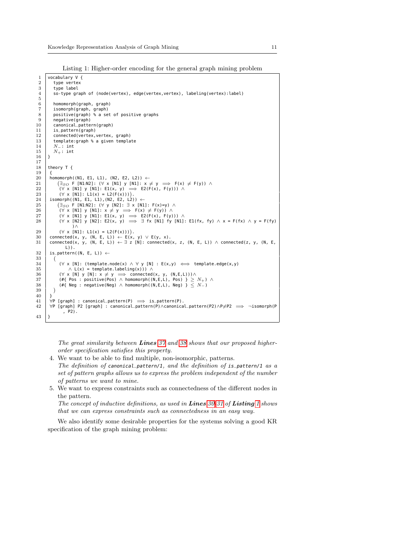<span id="page-10-0"></span>Listing 1: Higher-order encoding for the general graph mining problem

```
\begin{array}{c|c} 1 & \text{vocabulary V } \{ \\ 2 & \text{two vertex} \end{array}type vertex
 \begin{array}{c|c} 3 & \text{type label} \\ 4 & \text{so-type grid} \end{array}so-type graph of (node(vertex), edge(vertex,vertex), labeling(vertex):label)
 \begin{array}{c}5\\6\end{array}6 homomorph(graph, graph)<br>7 isomorph(graph, graph)
  7 isomorph(graph, graph)
8 positive(graph) % a set of positive graphs
9 negative(graph)<br>10 canonical patte
           canonical_pattern(graph)
11 is_pattern(graph)<br>12 connected(vertex,
12 connected(vertex, vertex, graph)<br>13 template: graph % a given templa
            template:graph % a given template
\begin{array}{c|c} 14 & N_-: \text{ int} \\ 15 & N \cdot \text{ int} \end{array}N_+: int
16 }
\frac{17}{18}theory T {
\frac{19}{20}homomorph( (N1, E1, L1), (N2, E2, L2) ) \leftarrow21 
               \existsSO F [N1:N2]: (∀ x [N1] y [N1]: x ≠ y \implies F(x) ≠ F(y)) ∧
22 (\forall x \in N1] y [N1]: E1(x, y) \implies E2(F(x), F(y))) \wedge23 | (\forall x [N1]: L1(x) = L2(F(x)))).
24 isomorph((N1, E1, L1),(N2, E2, L2)) ←
25 
25 \exists (∃<sub>SO</sub> F [N1:N2]: (∀ y [N2]: ∃ x [N1]: F(x)=y) ∧<br>26 (∀ x [N1] y [N1]: x ≠ y ⇒ F(x) ≠ F(y)) ∧<br>27 (∀ x [N1] y [N1]: E1(x, y) ⇒ E2(F(x), F(y))) ∧
28 (Y \times [N2]) \times [N2] : E2(x, y) \implies \exists \exists x [N1] \exists y [N1] : E1(fx, fy) \land x = F(fx) \land y = F(fy))∧
29 (∀ x [N1]: L1(x) = L2(F(x)))
.
30 connected(x, y, (N, E, L)) ← E(x, y) ∨ E(y, x).
31 connected(x, y, (N, E, L)) ← ∃ z [N]: connected(x, z, (N, E, L)) ∧ connected(z, y, (N, E,
                   L)).
32 is_pattern((N, E, L)) ←
\begin{array}{c|c} 33 \\ 34 \end{array} (
                (\forall x [N]: (template-node(x) \land \forall y [N]: E(x,y) \iff template-edge(x,y)35 \wedge L(x) = template.labeling(x))) \wedge36 (\forall \times [N] \ y [N]: x \neq y \implies \text{connected}(x, y, (N, E, L))) \wedge<br>37 (# \{\text{ Pos : positive(Pos) } \wedge \text{ homomorph}((N, E, L), \text{ Pos}) \} \geq N_+) \wedge38 (#{ Neg : negative(Neg) ∧ homomorph((N,E,L), Neg) } \leq N_{-})<br>39 )
39 
\begin{array}{c} 40 \\ 41 \end{array}41 \overline{\forall P} [graph] : canonical_pattern(P) \implies is_pattern(P).<br>42 \overline{\forall P} [graph] P2 [graph] : canonical_pattern(P)∧canonica
         \forall P [graph] P2 [graph] : canonical_pattern(P)∧canonical_pattern(P2)∧P≠P2 \implies ¬isomorph(P
                  , P2).
43 \mid
```
<span id="page-10-14"></span><span id="page-10-13"></span><span id="page-10-12"></span><span id="page-10-11"></span><span id="page-10-10"></span><span id="page-10-9"></span><span id="page-10-2"></span><span id="page-10-1"></span>The great similarity between Lines  $37$  and  $38$  shows that our proposed higherorder specification satisfies this property.

- 4. We want to be able to find multiple, non-isomorphic, patterns. The definition of canonical\_pattern/1, and the definition of is\_pattern/1 as a set of pattern graphs allows us to express the problem independent of the number of patterns we want to mine.
- 5. We want to express constraints such as connectedness of the different nodes in the pattern.

The concept of inductive definitions, as used in **Lines**  $30-31$  $30-31$  of **Listing** [1](#page-10-0) shows that we can express constraints such as connectedness in an easy way.

We also identify some desirable properties for the systems solving a good KR specification of the graph mining problem: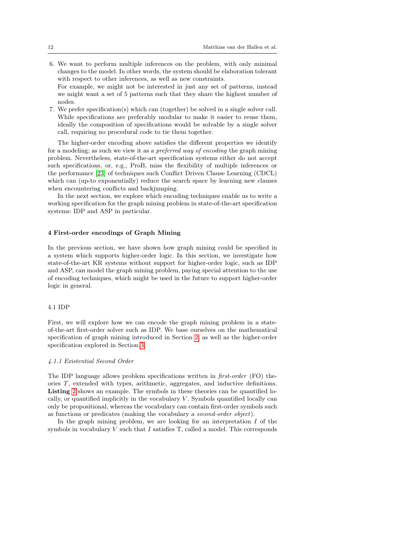6. We want to perform multiple inferences on the problem, with only minimal changes to the model. In other words, the system should be elaboration tolerant with respect to other inferences, as well as new constraints.

For example, we might not be interested in just any set of patterns, instead we might want a set of 5 patterns such that they share the highest number of nodes.

7. We prefer specification(s) which can (together) be solved in a single solver call. While specifications are preferably modular to make it easier to reuse them, ideally the composition of specifications would be solvable by a single solver call, requiring no procedural code to tie them together.

The higher-order encoding above satisfies the different properties we identify for a modeling; as such we view it as a preferred way of encoding the graph mining problem. Nevertheless, state-of-the-art specification systems either do not accept such specifications, or, e.g., ProB, miss the flexibility of multiple inferences or the performance [\[23\]](#page-40-7) of techniques such Conflict Driven Clause Learning (CDCL) which can (up-to exponentially) reduce the search space by learning new clauses when encountering conflicts and backjumping.

In the next section, we explore which encoding techniques enable us to write a working specification for the graph mining problem in state-of-the-art specification systems: IDP and ASP in particular.

### <span id="page-11-0"></span>4 First-order encodings of Graph Mining

In the previous section, we have shown how graph mining could be specified in a system which supports higher-order logic. In this section, we investigate how state-of-the-art KR systems without support for higher-order logic, such as IDP and ASP, can model the graph mining problem, paying special attention to the use of encoding techniques, which might be used in the future to support higher-order logic in general.

## 4.1 IDP

First, we will explore how we can encode the graph mining problem in a stateof-the-art first-order solver such as IDP. We base ourselves on the mathematical specification of graph mining introduced in Section [2,](#page-3-1) as well as the higher-order specification explored in Section [3.](#page-6-0)

### 4.1.1 Existential Second Order

The IDP language allows problem specifications written in first-order (FO) theories T, extended with types, arithmetic, aggregates, and inductive definitions. Listing [2](#page-12-0) shows an example. The symbols in these theories can be quantified locally, or quantified implicitly in the vocabulary  $V$ . Symbols quantified locally can only be propositional, whereas the vocabulary can contain first-order symbols such as functions or predicates (making the vocabulary a second-order object).

In the graph mining problem, we are looking for an interpretation  $I$  of the symbols in vocabulary  $V$  such that  $I$  satisfies  $T$ , called a model. This corresponds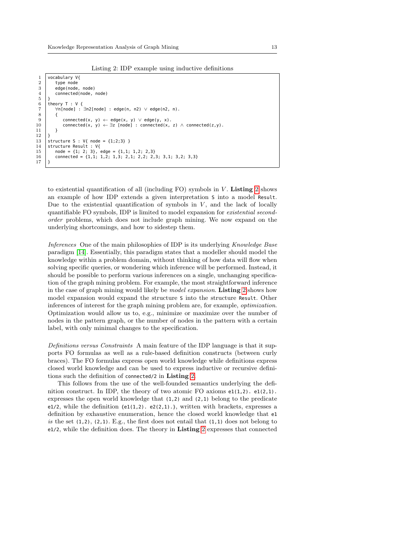Listing 2: IDP example using inductive definitions

```
\frac{1}{2} vocabulary V{
 2<br>3<br>4<br>4<br>connected
            edge(node, node)
            4 connected(node, node)
 \begin{array}{c} 5 \\ 6 \end{array}6 theory T : V {<br>7 \term \text{\bm{node] :
            \forall n[node] : \exists n2[node] : edge(n, n2) \lor edge(n2, n).
 \begin{array}{c|c} 8 & \phantom{0}6 \\ 9 & \phantom{0} \end{array}9 connected(x, y) ← edge(x, y) ∨ edge(y, x).<br>10 connected(x, y) ← ∃z [nodel : connected(x,
                10 connected(x, y) ← \exists z \pmod{z} : connected(x, z) \wedge connected(z,y).
11 }
\begin{array}{c} 12 \\ 13 \end{array}\text{structure } S : V\{ \text{ node } = \{1, 2, 3\} \}14 structure Result : V{
15 node = {1; 2; 3}, edge = {1,1; 1,2; 2,3}
16 connected = {1,1; 1,2; 1,3; 2,1; 2,2; 2,3; 3,1; 3,2; 3,3}
17 }
```
to existential quantification of all (including FO) symbols in  $V$ . Listing [2](#page-12-0) shows an example of how IDP extends a given interpretation S into a model Result. Due to the existential quantification of symbols in  $V$ , and the lack of locally quantifiable FO symbols, IDP is limited to model expansion for existential secondorder problems, which does not include graph mining. We now expand on the underlying shortcomings, and how to sidestep them.

Inferences One of the main philosophies of IDP is its underlying Knowledge Base paradigm [\[14\]](#page-39-9). Essentially, this paradigm states that a modeller should model the knowledge within a problem domain, without thinking of how data will flow when solving specific queries, or wondering which inference will be performed. Instead, it should be possible to perform various inferences on a single, unchanging specification of the graph mining problem. For example, the most straightforward inference in the case of graph mining would likely be model expansion. Listing [2](#page-12-0) shows how model expansion would expand the structure S into the structure Result. Other inferences of interest for the graph mining problem are, for example, optimization. Optimization would allow us to, e.g., minimize or maximize over the number of nodes in the pattern graph, or the number of nodes in the pattern with a certain label, with only minimal changes to the specification.

Definitions versus Constraints A main feature of the IDP language is that it supports FO formulas as well as a rule-based definition constructs (between curly braces). The FO formulas express open world knowledge while definitions express closed world knowledge and can be used to express inductive or recursive definitions such the definition of connected/2 in Listing [2.](#page-12-0)

This follows from the use of the well-founded semantics underlying the definition construct. In IDP, the theory of two atomic FO axioms e1(1,2). e1(2,1). expresses the open world knowledge that (1,2) and (2,1) belong to the predicate e1/2, while the definition  $\{e1(1,2)$ .  $e2(2,1)$ .}, written with brackets, expresses a definition by exhaustive enumeration, hence the closed world knowledge that e1 is the set  $(1,2)$ ,  $(2,1)$ . E.g., the first does not entail that  $(1,1)$  does not belong to e1/2, while the definition does. The theory in Listing [2](#page-12-0) expresses that connected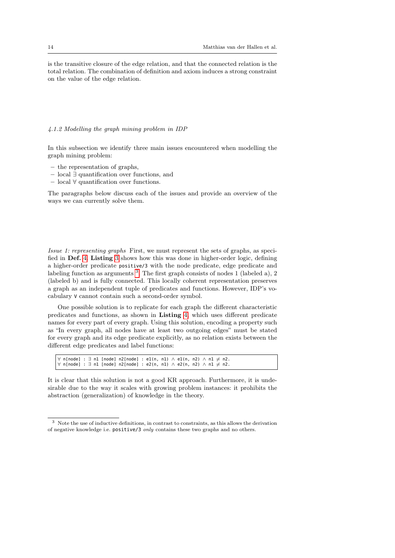is the transitive closure of the edge relation, and that the connected relation is the total relation. The combination of definition and axiom induces a strong constraint on the value of the edge relation.

### 4.1.2 Modelling the graph mining problem in IDP

In this subsection we identify three main issues encountered when modelling the graph mining problem:

- the representation of graphs,
- local ∃ quantification over functions, and
- local ∀ quantification over functions.

The paragraphs below discuss each of the issues and provide an overview of the ways we can currently solve them.

Issue 1: representing graphs First, we must represent the sets of graphs, as specified in Def. [4.](#page-4-7) Listing [3](#page-14-0) shows how this was done in higher-order logic, defining a higher-order predicate positive/3 with the node predicate, edge predicate and labeling function as arguments  $3$ . The first graph consists of nodes 1 (labeled a), 2 (labeled b) and is fully connected. This locally coherent representation preserves a graph as an independent tuple of predicates and functions. However, IDP's vocabulary V cannot contain such a second-order symbol.

One possible solution is to replicate for each graph the different characteristic predicates and functions, as shown in Listing [4,](#page-14-1) which uses different predicate names for every part of every graph. Using this solution, encoding a property such as "In every graph, all nodes have at least two outgoing edges" must be stated for every graph and its edge predicate explicitly, as no relation exists between the different edge predicates and label functions:

| $\forall$ n[node] : $\exists$ n1 [node] n2[node] : e1(n, n1) $\land$ e1(n, n2) $\land$ n1 $\neq$ n2. |  |  |  |  |  |  |  |
|------------------------------------------------------------------------------------------------------|--|--|--|--|--|--|--|
| $\forall$ n[node] : $\exists$ n1 [node] n2[node] : e2(n, n1) $\land$ e2(n, n2) $\land$ n1 $\neq$ n2. |  |  |  |  |  |  |  |

It is clear that this solution is not a good KR approach. Furthermore, it is undesirable due to the way it scales with growing problem instances: it prohibits the abstraction (generalization) of knowledge in the theory.

<span id="page-13-0"></span> $^3\,$  Note the use of inductive definitions, in contrast to constraints, as this allows the derivation of negative knowledge i.e. positive/3 only contains these two graphs and no others.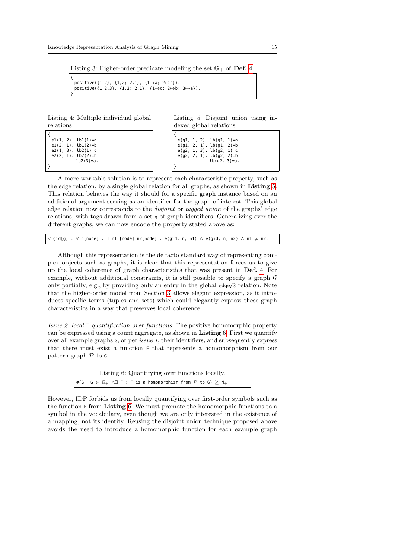<span id="page-14-0"></span>Listing 3: Higher-order predicate modeling the set  $\mathbb{G}_+$  of **Def.** [4.](#page-4-7)

{  $position({1,2}, {1,2; 2,1}, {1 \mapsto a; 2 \mapsto b}).$  $position({1,2,3}, {1,3; 2,1}, {1 \mapsto c; 2 \mapsto b; 3 \mapsto a}).$ }

<span id="page-14-1"></span>Listing 4: Multiple individual global relations

<span id="page-14-2"></span>Listing 5: Disjoint union using indexed global relations

| el(1, 2), $\text{lb1}(1) = a$ . | $e(q1, 1, 2)$ . $lb(q1, 1)=a$ .    |
|---------------------------------|------------------------------------|
| $e1(2, 1)$ . lb1 $(2)=b$ .      | $e(q1, 2, 1)$ . $lb(q1, 2)=b$ .    |
| $e2(1, 3)$ . lb2(1)=c.          | $e(q2, 1, 3)$ . lb $(q2, 1)=c$ .   |
| $e2(2, 1)$ . lb2 $(2)=b$ .      | $e(q2, 2, 1)$ . lb $(q2, 2) = b$ . |
| $1b2(3)=a$ .                    | $lb(q2, 3)=a.$                     |
|                                 |                                    |

A more workable solution is to represent each characteristic property, such as the edge relation, by a single global relation for all graphs, as shown in Listing [5.](#page-14-2) This relation behaves the way it should for a specific graph instance based on an additional argument serving as an identifier for the graph of interest. This global edge relation now corresponds to the disjoint or tagged union of the graphs' edge relations, with tags drawn from a set g of graph identifiers. Generalizing over the different graphs, we can now encode the property stated above as:

| $\forall$ gid[g] : $\forall$ n[node] : $\exists$ n1 [node] n2[node] : e(gid, n, n1) $\land$ e(gid, n, n2) $\land$ n1 $\neq$ n2. |  |  |  |  |  |  |  |  |  |  |  |  |  |  |  |  |
|---------------------------------------------------------------------------------------------------------------------------------|--|--|--|--|--|--|--|--|--|--|--|--|--|--|--|--|
|---------------------------------------------------------------------------------------------------------------------------------|--|--|--|--|--|--|--|--|--|--|--|--|--|--|--|--|

Although this representation is the de facto standard way of representing complex objects such as graphs, it is clear that this representation forces us to give up the local coherence of graph characteristics that was present in Def. [4.](#page-4-7) For example, without additional constraints, it is still possible to specify a graph  $\mathcal G$ only partially, e.g., by providing only an entry in the global edge/3 relation. Note that the higher-order model from Section [3](#page-6-0) allows elegant expression, as it introduces specific terms (tuples and sets) which could elegantly express these graph characteristics in a way that preserves local coherence.

Issue 2: local ∃ quantification over functions The positive homomorphic property can be expressed using a count aggregate, as shown in Listing [6.](#page-14-3) First we quantify over all example graphs G, or per *issue 1*, their identifiers, and subsequently express that there must exist a function F that represents a homomorphism from our pattern graph  $P$  to G.

<span id="page-14-3"></span>

| Listing 6: Quantifying over functions locally.                                                                               |
|------------------------------------------------------------------------------------------------------------------------------|
| $\mid$ #{G $\mid$ G $\in$ $\mathbb{G}_{+}$ $\land$ $\exists$ F $:$ F is a homomorphism from $\mathcal{P}$ to G} $>$ N $_{+}$ |

However, IDP forbids us from locally quantifying over first-order symbols such as the function F from Listing [6.](#page-14-3) We must promote the homomorphic functions to a symbol in the vocabulary, even though we are only interested in the existence of a mapping, not its identity. Reusing the disjoint union technique proposed above avoids the need to introduce a homomorphic function for each example graph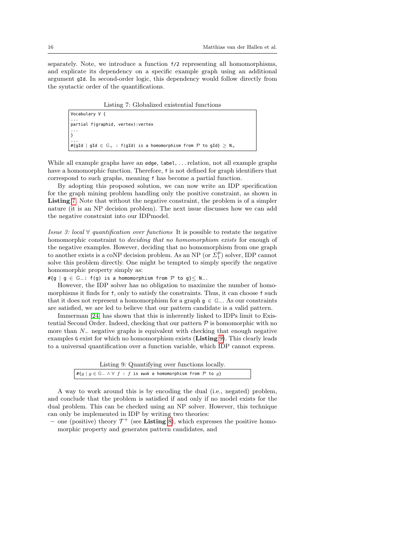separately. Note, we introduce a function f/2 representing all homomorphisms, and explicate its dependency on a specific example graph using an additional argument gId. In second-order logic, this dependency would follow directly from the syntactic order of the quantifications.

<span id="page-15-0"></span>Listing 7: Globalized existential functions Vocabulary V { ... partial f(graphid, vertex):vertex ... }  $\ldots$  : ...<br>#{gId | gId  $\in$   $\mathbb{G}_{+}$  : f(gId) is a homomorphism from  $\mathcal{P}$  to gId}  $\geq$  N $_{+}$ 

While all example graphs have an edge, label, . . . relation, not all example graphs have a homomorphic function. Therefore, f is not defined for graph identifiers that correspond to such graphs, meaning f has become a partial function.

By adopting this proposed solution, we can now write an IDP specification for the graph mining problem handling only the positive constraint, as shown in Listing [7.](#page-15-0) Note that without the negative constraint, the problem is of a simpler nature (it is an NP decision problem). The next issue discusses how we can add the negative constraint into our IDPmodel.

*Issue 3:* local  $\forall$  quantification over functions It is possible to restate the negative homomorphic constraint to *deciding that no homomorphism exists* for enough of the negative examples. However, deciding that no homomorphism from one graph to another exists is a coNP decision problem. As an NP (or  $\Sigma_1^p$ ) solver, IDP cannot solve this problem directly. One might be tempted to simply specify the negative homomorphic property simply as:

#{g | g  $\in$  G\_: f(g) is a homomorphism from  $\mathcal P$  to g} $\leq$  N\_.

However, the IDP solver has no obligation to maximize the number of homomorphisms it finds for f, only to satisfy the constraints. Thus, it can choose f such that it does not represent a homomorphism for a graph  $g \in \mathbb{G}$ . As our constraints are satisfied, we are led to believe that our pattern candidate is a valid pattern.

Immerman [\[24\]](#page-40-8) has shown that this is inherently linked to IDPs limit to Existential Second Order. Indeed, checking that our pattern  $P$  is homomorphic with no more than N<sup>−</sup> negative graphs is equivalent with checking that enough negative examples G exist for which no homomorphism exists (Listing [9\)](#page-15-1). This clearly leads to a universal quantification over a function variable, which IDP cannot express.

> <span id="page-15-1"></span>Listing 9: Quantifying over functions locally. #{g |  $g \in \mathbb{G}$  - ∧  $\forall$  f : f is not a homomorphism from  $\mathcal{P}$  to g}

A way to work around this is by encoding the dual (i.e., negated) problem, and conclude that the problem is satisfied if and only if no model exists for the dual problem. This can be checked using an NP solver. However, this technique can only be implemented in IDP by writing two theories:

– one (positive) theory  $\mathcal{T}^+$  (see Listing [8\)](#page-16-0), which expresses the positive homomorphic property and generates pattern candidates, and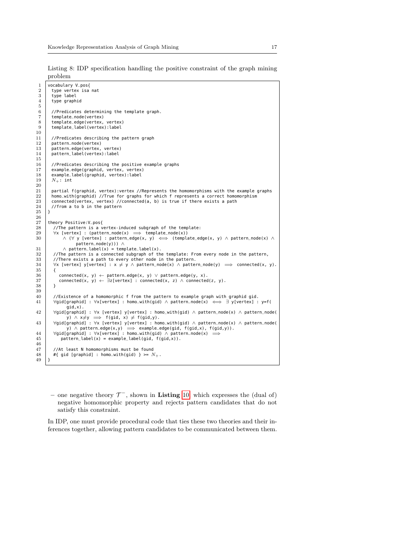<span id="page-16-0"></span>Listing 8: IDP specification handling the positive constraint of the graph mining problem

```
\frac{1}{2} vocabulary V_pos{
         type vertex isa nat
 \begin{array}{c|c} 3 & \text{type label} \\ 4 & \text{type graph} \end{array}type graphid
 \begin{array}{c} 5 \\ 6 \end{array}6 //Predicates determining the template graph.<br>7 template_node(vertex)
 7 template_node(vertex)<br>8 template edge(vertex.
 8 template_edge(vertex, vertex)<br>9 template label(vertex):label
         9 template_label(vertex):label
10
11 //Predicates describing the pattern graph<br>12 pattern node(vertex)
12 pattern_node(vertex)<br>13 pattern_edge(vertex,
         pattern_edge(vertex, vertex)
14 pattern_label(vertex):label
15
16 //Predicates describing the positive example graphs
17 example_edge(graphid, vertex, vertex)
18 example_label(graphid, vertex):label
19 N_+: int
\frac{20}{21}partial f(graphid, vertex):vertex //Represents the homomorphisms with the example graphs
22 homo_with(graphid) //True for graphs for which f represents a correct homomorphism
23 connected(vertex, vertex) //connected(a, b) is true if there exists a path
24 //from a to b in the pattern<br>25 }
25\,\frac{26}{27}27 theory Positive: V_pos{<br>28 //The pattern is a v
28 //The pattern is a vertex-induced subgraph of the template:<br>29 /x [vertex] : (pattern_node(x) \implies template_node(x))
29 \forall x [vertex] : (pattern_node(x) \implies template_node(x))<br>30 \land \forall y [vertex] : pattern_edge(x, y) \iff (template
                \overline{\wedge} (∀ y [vertex] : pattern_edge(x, y) \iff (template_edge(x, y) \wedge pattern_node(x) \wedgepattern_node(y))) ∧
31 \uparrow \uparrow pattern_label(x) = template_label(x).<br>32 //The pattern is a connected subgraph of th
           //The pattern is a connected subgraph of the template: From every node in the pattern,
33 //There exists a path to every other node in the pattern.<br>34 / \forall x [vertex] v[vertex] : x \neq y \land pattern node(x) \land pattern
           \forallx [vertex] y[vertex] : x \neq y \land pattern_node(x) \land pattern_node(y) \implies connected(x, y).
\begin{array}{c|c} 35 & \phantom{0}46 \end{array}36 connected(x, y) ← pattern_edge(x, y) ∨ pattern_edge(y, x).<br>37 connected(x, y) ← \exists z[vertex] : connected(x, z) ∧ connected
          connected(x, y) ← \exists z[vertex] : connected(x, z) \land connected(z, y).
38 }
39
40 //Existence of a homomorphic f from the pattern to example graph with graphid gid.<br>41 / Maidlaranhidl : WxIvertexl : homo with(gid) A pattern node(x) \iff \exists vIvertexl :
           41 ∀gid[graphid] : ∀x[vertex] : homo_with(gid) ∧ pattern_node(x) ⇐⇒ ∃ y[vertex] : y=f(
                  qid(x).
42 ∀gid[graphid] : ∀x [vertex] y[vertex] : homo_with(gid) ∧ pattern_node(x) ∧ pattern_node(
y) ∧ x6=y =⇒ f(gid, x) 6= f(gid,y).
43 ∀gid[graphid] : ∀x [vertex] y[vertex] : homo_with(gid) ∧ pattern_node(x) ∧ pattern_node(
y) ∧ pattern_edge(x,y) \implies example_edge(gid, f(gid,x), f(gid,y)).<br>44 \forallgid[graphid] : ∀x[vertex] : homo_with(gid) ∧ pattern_node(x) \implies45 pattern_label(x) = example_label(gid, f(gid,x)).
\frac{46}{47}47 //At least N homomorphisms must be found<br>48 #4 gid [graphid] : homo with(gid) } >= \lambda#{ gid [graphid] : homo_with(gid) } >= N_+49 }
```
– one negative theory  $\mathcal{T}^-$ , shown in Listing [10,](#page-18-0) which expresses the (dual of) negative homomorphic property and rejects pattern candidates that do not satisfy this constraint.

In IDP, one must provide procedural code that ties these two theories and their inferences together, allowing pattern candidates to be communicated between them.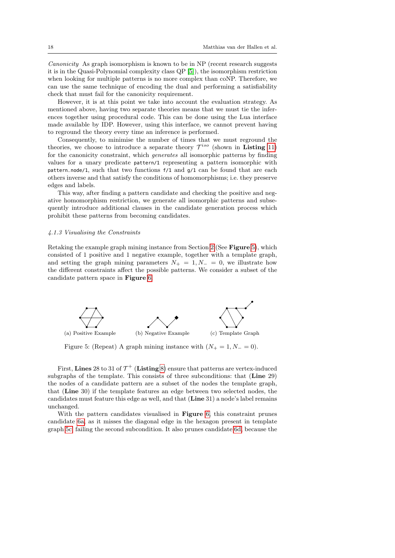Canonicity As graph isomorphism is known to be in NP (recent research suggests it is in the Quasi-Polynomial complexity class QP [\[5\]](#page-39-13)), the isomorphism restriction when looking for multiple patterns is no more complex than coNP. Therefore, we can use the same technique of encoding the dual and performing a satisfiability check that must fail for the canonicity requirement.

However, it is at this point we take into account the evaluation strategy. As mentioned above, having two separate theories means that we must tie the inferences together using procedural code. This can be done using the Lua interface made available by IDP. However, using this interface, we cannot prevent having to reground the theory every time an inference is performed.

Consequently, to minimise the number of times that we must reground the theories, we choose to introduce a separate theory  $\mathcal{T}^{iso}$  (shown in Listing [11\)](#page-19-0) for the canonicity constraint, which generates all isomorphic patterns by finding values for a unary predicate pattern/1 representing a pattern isomorphic with pattern\_node/1, such that two functions f/1 and g/1 can be found that are each others inverse and that satisfy the conditions of homomorphisms; i.e. they preserve edges and labels.

This way, after finding a pattern candidate and checking the positive and negative homomorphism restriction, we generate all isomorphic patterns and subsequently introduce additional clauses in the candidate generation process which prohibit these patterns from becoming candidates.

### 4.1.3 Visualising the Constraints

Retaking the example graph mining instance from Section [2](#page-3-1) (See Figure [5\)](#page-17-0), which consisted of 1 positive and 1 negative example, together with a template graph, and setting the graph mining parameters  $N_{+} = 1, N_{-} = 0$ , we illustrate how the different constraints affect the possible patterns. We consider a subset of the candidate pattern space in Figure [6.](#page-19-1)

<span id="page-17-0"></span>

<span id="page-17-2"></span><span id="page-17-1"></span>Figure 5: (Repeat) A graph mining instance with  $(N_{+} = 1, N_{-} = 0)$ .

First, Lines 28 to 31 of  $\mathcal{T}^+$  (Listing [8\)](#page-16-0) ensure that patterns are vertex-induced subgraphs of the template. This consists of three subconditions: that (Line 29) the nodes of a candidate pattern are a subset of the nodes the template graph, that (Line 30) if the template features an edge between two selected nodes, the candidates must feature this edge as well, and that (Line 31) a node's label remains unchanged.

With the pattern candidates visualised in **Figure** [6,](#page-19-1) this constraint prunes candidate [6a,](#page-19-2) as it misses the diagonal edge in the hexagon present in template graph [5c,](#page-17-1) failing the second subcondition. It also prunes candidate [6d,](#page-19-3) because the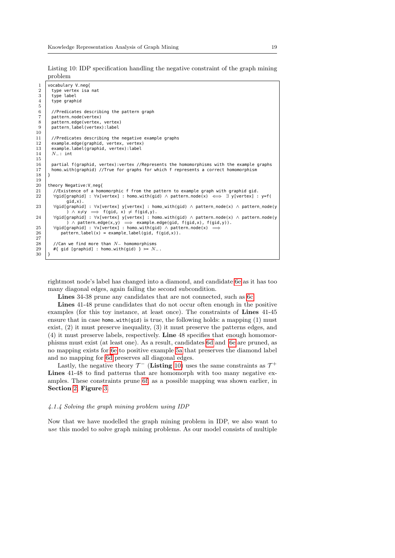<span id="page-18-0"></span>Listing 10: IDP specification handling the negative constraint of the graph mining problem

```
\frac{1}{2} vocabulary V_neg{
         type vertex isa nat
 \begin{array}{c|c} 3 & \text{type label} \\ 4 & \text{type graph} \end{array}type graphid
 \begin{array}{c} 5 \\ 6 \end{array}6 //Predicates describing the pattern graph<br>7 pattern_node(vertex)
 7 pattern_node(vertex)<br>8 pattern edge(vertex.
 8 pattern_edge(vertex, vertex)<br>9 pattern label(vertex):label
         pattern_label(vertex):label
10
11 //Predicates describing the negative example graphs<br>12 example_edge(graphid, vertex, vertex)
12 example_edge(graphid, vertex, vertex)<br>13 example_label(graphid, vertex):label
         example_label(graphid, vertex):label
14 | N_: int
15
16 partial f(graphid, vertex): vertex //Represents the homomorphisms with the example graphs
17 homo_with(graphid) //True for graphs for which f represents a correct homomorphism
18 }
\begin{array}{c} 19 \\ 20 \end{array}20 theory Negative: V_neg{<br>21 //Existence of a hom
          21 //Existence of a homomorphic f from the pattern to example graph with graphid gid.
22 \forall yid[graphid] : \forallx[vertex] : homo_with(gid) \land pattern_node(x) \iff \exists y[vertex] : y=f(
                 ni(x).
23 ∀gid[graphid] : ∀x[vertex] y[vertex] : homo_with(gid) ∧ pattern_node(x) ∧ pattern_node(y
) ∧ x6=y =⇒ f(gid, x) 6= f(gid,y).
24 ∀gid[graphid] : ∀x[vertex] y[vertex] : homo_with(gid) ∧ pattern_node(x) ∧ pattern_node(y
                 ) \land pattern_edge(x,y) \implies example_edge(gid, f(gid,x), f(gid,y)).
25 \forall yid[graphid] : \forallx[vertex] : homo_with(gid) \land pattern_node(x) \implies<br>26 nattern label(x) = example label(gid, f(gid,x)).
              pattern\_label(x) = example\_label(qid, f(qid,x)).
\frac{27}{28}28 //Can we find more than N_ homomorphisms<br>29 <br>40 for applied to the move with (aid) \lambda \geq N#{ gid [graphid] : homo_with(gid) } >= N_-.
30 \mid \}
```
rightmost node's label has changed into a diamond, and candidate [6e](#page-19-4) as it has too many diagonal edges, again failing the second subcondition.

Lines 34-38 prune any candidates that are not connected, such as [6c.](#page-19-5)

Lines 41-48 prune candidates that do not occur often enough in the positive examples (for this toy instance, at least once). The constraints of Lines 41-45 ensure that in case homo\_with(gid) is true, the following holds: a mapping (1) must exist, (2) it must preserve inequality, (3) it must preserve the patterns edges, and (4) it must preserve labels, respectively. Line 48 specifies that enough homomorphisms must exist (at least one). As a result, candidates [6d](#page-19-3) and [6e](#page-19-4) are pruned, as no mapping exists for [6e](#page-19-4) to positive example [5a](#page-17-2) that preserves the diamond label and no mapping for [6d](#page-19-3) preserves all diagonal edges.

Lastly, the negative theory  $\mathcal{T}^-$  (Listing [10\)](#page-18-0) uses the same constraints as  $\mathcal{T}^+$ Lines 41-48 to find patterns that are homomorph with too many negative examples. These constraints prune [6f,](#page-19-6) as a possible mapping was shown earlier, in Section [2,](#page-3-1) Figure [3.](#page-5-0)

#### 4.1.4 Solving the graph mining problem using IDP

Now that we have modelled the graph mining problem in IDP, we also want to use this model to solve graph mining problems. As our model consists of multiple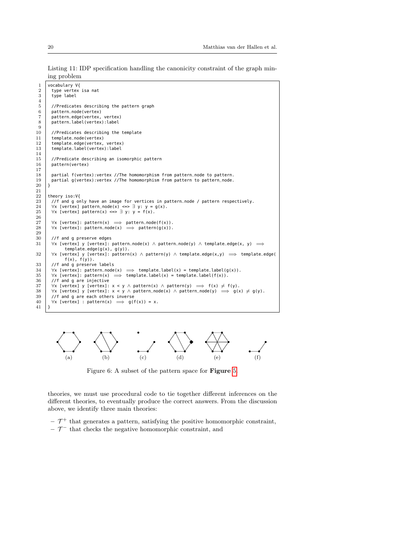<span id="page-19-0"></span>Listing 11: IDP specification handling the canonicity constraint of the graph mining problem

```
\begin{array}{c|c} 1 & \text{vocabulary V}\end{array} vocabulary V{
          type vertex isa nat
 3 type label
 \frac{4}{5}5 //Predicates describing the pattern graph<br>6 pattern_node(vertex)
 \begin{array}{c|c} 6 & \text{pattern} \text{node}(\text{vertex}) \\ \hline 7 & \text{pattern} \text{edge}(\text{vertex}) \end{array}7 pattern_edge(vertex, vertex)<br>8 pattern label(vertex):label
          pattern_label(vertex):label
\frac{9}{10}10 //Predicates describing the template
11 template_node(vertex)<br>12 template_edge(vertex.
12 template_edge(vertex, vertex)<br>13 template_label(vertex):label
          13 template_label(vertex):label
14
15 | //Predicate describing an isomorphic pattern
16 pattern(vertex)
\frac{17}{18}18 partial f(vertex):vertex //The homomorphism from pattern_node to pattern.<br>19 partial g(vertex):vertex //The homomorphism from pattern to pattern_node.
          partial g(vertex):vertex //The homomorphism from pattern to pattern_node.
20 }
rac{21}{22}22 theory iso:V{
23 //f and g only have an image for vertices in pattern_node / pattern respectively.
24 \forall x [vertex] pattern_node(x) <=> \exists y: y = g(x).<br>25 \forall x [vertex] pattern(x) <=> \exists y: y = f(x).
          \forall x [vertex] pattern(x) <=> \exists y: y = f(x).
rac{26}{27}27 \forall x [vertex]: pattern(x) \implies pattern_node(f(x)).<br>28 \forall x [vertex]: pattern node(x) \implies pattern(g(x)).
          \forall x [vertex]: pattern_node(x) \implies pattern(g(x)).
\frac{29}{30}\begin{array}{|l|l|}\n 30 & //f \n 31 & \forall x \text{ [vertex] } y \text{ [vertex] :}\n \end{array}31 ∀x [vertex] y [vertex]: pattern_node(x) ∧ pattern_node(y) ∧ template_edge(x, y) =⇒
                   template_edge(g(x), g(y)).
32 ∀x [vertex] y [vertex]: pattern(x) ∧ pattern(y) ∧ template_edge(x,y) =⇒ template_edge(
f(x), f(y)).
33 //f and g preserve labels
34 \forall x [vertex]: pattern_node(x) \implies template_label(x) = template_label(g(x)).<br>35 \forall x [vertex]: pattern(x) \implies template_label(x) = template_label(f(x)).
35 \forall x [vertex]: pattern(x) \implies template_label(x) = template_label(f(x)).<br>36 //f and q are injective
36 //f and g are injective<br>37 \forall x [vertex] y [vertex]:
37 | ∀x [vertex] y [vertex]: x < y ∧ pattern(x) ∧ pattern(y) \implies f(x) ≠ f(y).<br>38 | ∀x [vertex] y [vertex]: x < y ∧ pattern_node(x) ∧ pattern_node(y) \implies g(x) ≠ g(y).
39 //f and g are each others inverse<br>40 \forall x [vertex] : pattern(x) \implies q(
          \forall x [vertex] : pattern(x) \implies g(f(x)) = x.
41 }
```
<span id="page-19-2"></span><span id="page-19-1"></span>

<span id="page-19-6"></span><span id="page-19-5"></span><span id="page-19-4"></span><span id="page-19-3"></span>Figure 6: A subset of the pattern space for Figure [5.](#page-17-0)

theories, we must use procedural code to tie together different inferences on the different theories, to eventually produce the correct answers. From the discussion above, we identify three main theories:

 $\mathcal{T}^+$  that generates a pattern, satisfying the positive homomorphic constraint,

 $\mathcal{T}^-$  that checks the negative homomorphic constraint, and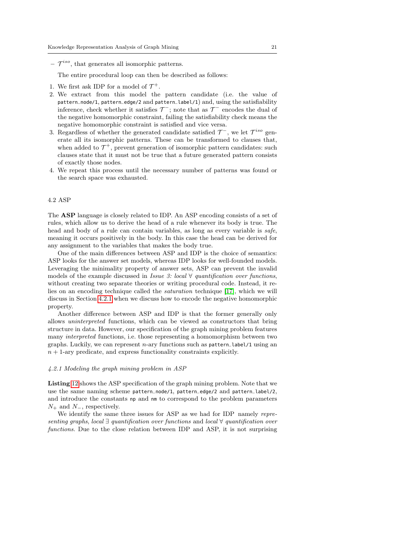$\mathcal{T}^{iso}$ , that generates all isomorphic patterns.

The entire procedural loop can then be described as follows:

- 1. We first ask IDP for a model of  $\mathcal{T}^+$ .
- 2. We extract from this model the pattern candidate (i.e. the value of pattern\_node/1, pattern\_edge/2 and pattern\_label/1) and, using the satisfiability inference, check whether it satisfies  $\mathcal{T}^-$ ; note that as  $\mathcal{T}^-$  encodes the dual of the negative homomorphic constraint, failing the satisfiability check means the negative homomorphic constraint is satisfied and vice versa.
- 3. Regardless of whether the generated candidate satisfied  $\mathcal{T}^-$ , we let  $\mathcal{T}^{iso}$  generate all its isomorphic patterns. These can be transformed to clauses that, when added to  $\mathcal{T}^+$ , prevent generation of isomorphic pattern candidates: such clauses state that it must not be true that a future generated pattern consists of exactly those nodes.
- 4. We repeat this process until the necessary number of patterns was found or the search space was exhausted.

### 4.2 ASP

The ASP language is closely related to IDP. An ASP encoding consists of a set of rules, which allow us to derive the head of a rule whenever its body is true. The head and body of a rule can contain variables, as long as every variable is *safe*. meaning it occurs positively in the body. In this case the head can be derived for any assignment to the variables that makes the body true.

One of the main differences between ASP and IDP is the choice of semantics: ASP looks for the answer set models, whereas IDP looks for well-founded models. Leveraging the minimality property of answer sets, ASP can prevent the invalid models of the example discussed in *Issue 3: local*  $\forall$  quantification over functions, without creating two separate theories or writing procedural code. Instead, it relies on an encoding technique called the saturation technique [\[17\]](#page-39-10), which we will discuss in Section [4.2.1](#page-20-0) when we discuss how to encode the negative homomorphic property.

Another difference between ASP and IDP is that the former generally only allows uninterpreted functions, which can be viewed as constructors that bring structure in data. However, our specification of the graph mining problem features many interpreted functions, i.e. those representing a homomorphism between two graphs. Luckily, we can represent  $n$ -ary functions such as pattern\_label/1 using an  $n + 1$ -ary predicate, and express functionality constraints explicitly.

### <span id="page-20-0"></span>4.2.1 Modeling the graph mining problem in ASP

Listing [12](#page-24-0) shows the ASP specification of the graph mining problem. Note that we use the same naming scheme pattern\_node/1, pattern\_edge/2 and pattern\_label/2, and introduce the constants np and nm to correspond to the problem parameters  $N_+$  and  $N_-,$  respectively.

We identify the same three issues for ASP as we had for IDP namely representing graphs, local ∃ quantification over functions and local ∀ quantification over functions. Due to the close relation between IDP and ASP, it is not surprising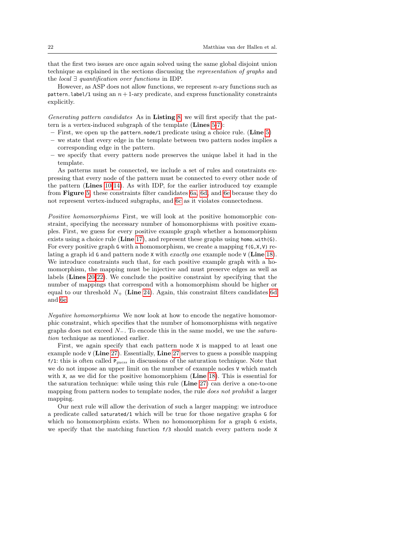that the first two issues are once again solved using the same global disjoint union technique as explained in the sections discussing the representation of graphs and the local  $\exists$  quantification over functions in IDP.

However, as ASP does not allow functions, we represent  $n$ -ary functions such as pattern\_label/1 using an  $n+1$ -ary predicate, and express functionality constraints explicitly.

Generating pattern candidates As in Listing [8,](#page-16-0) we will first specify that the pattern is a vertex-induced subgraph of the template (Lines [5](#page-24-1)[-7\)](#page-24-2):

- First, we open up the pattern\_node/1 predicate using a choice rule. (Line [5\)](#page-24-1)
- we state that every edge in the template between two pattern nodes implies a corresponding edge in the pattern.
- we specify that every pattern node preserves the unique label it had in the template.

As patterns must be connected, we include a set of rules and constraints expressing that every node of the pattern must be connected to every other node of the pattern (Lines [10-](#page-24-3)[14\)](#page-24-4). As with IDP, for the earlier introduced toy example from Figure [5,](#page-17-0) these constraints filter candidates [6a,](#page-19-2) [6d,](#page-19-3) and [6e](#page-19-4) because they do not represent vertex-induced subgraphs, and [6c](#page-19-5) as it violates connectedness.

Positive homomorphisms First, we will look at the positive homomorphic constraint, specifying the necessary number of homomorphisms with positive examples. First, we guess for every positive example graph whether a homomorphism exists using a choice rule (Line [17\)](#page-24-5), and represent these graphs using homo\_with(G). For every positive graph G with a homomorphism, we create a mapping  $f(G,X,V)$  relating a graph id G and pattern node X with exactly one example node V (Line [18\)](#page-24-6). We introduce constraints such that, for each positive example graph with a homomorphism, the mapping must be injective and must preserve edges as well as labels (Lines [20-](#page-24-7)[22\)](#page-24-8). We conclude the positive constraint by specifying that the number of mappings that correspond with a homomorphism should be higher or equal to our threshold  $N_{+}$  (Line [24\)](#page-24-9). Again, this constraint filters candidates [6d](#page-19-3) and [6e.](#page-19-4)

Negative homomorphisms We now look at how to encode the negative homomorphic constraint, which specifies that the number of homomorphisms with negative graphs does not exceed N−. To encode this in the same model, we use the saturation technique as mentioned earlier.

First, we again specify that each pattern node X is mapped to at least one example node V (Line [27\)](#page-24-10). Essentially, Line [27](#page-24-10) serves to guess a possible mapping  $f/1$ : this is often called  $P_{guess}$  in discussions of the saturation technique. Note that we do not impose an upper limit on the number of example nodes V which match with X, as we did for the positive homomorphism (Line [18\)](#page-24-6). This is essential for the saturation technique: while using this rule (Line [27\)](#page-24-10) can derive a one-to-one mapping from pattern nodes to template nodes, the rule does not prohibit a larger mapping.

Our next rule will allow the derivation of such a larger mapping: we introduce a predicate called saturated/1 which will be true for those negative graphs G for which no homomorphism exists. When no homomorphism for a graph  $\epsilon$  exists, we specify that the matching function f/3 should match every pattern node X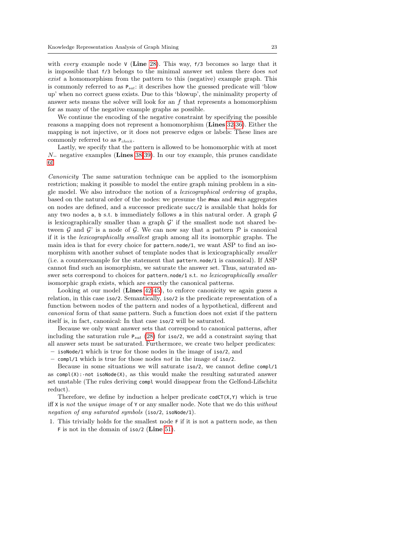with every example node  $V$  (Line [28\)](#page-24-11). This way,  $f/3$  becomes so large that it is impossible that f/3 belongs to the minimal answer set unless there does not exist a homomorphism from the pattern to this (negative) example graph. This is commonly referred to as  $P_{sat}$ : it describes how the guessed predicate will 'blow up' when no correct guess exists. Due to this 'blowup', the minimality property of answer sets means the solver will look for an  $f$  that represents a homomorphism for as many of the negative example graphs as possible.

We continue the encoding of the negative constraint by specifying the possible reasons a mapping does not represent a homomorphism (Lines [32](#page-24-12)[-36\)](#page-24-13). Either the mapping is not injective, or it does not preserve edges or labels: These lines are commonly referred to as  $P_{check}$ .

Lastly, we specify that the pattern is allowed to be homomorphic with at most N<sup>−</sup> negative examples (Lines [38](#page-24-14)[-39\)](#page-24-15). In our toy example, this prunes candidate  $6f$ 

Canonicity The same saturation technique can be applied to the isomorphism restriction; making it possible to model the entire graph mining problem in a single model. We also introduce the notion of a lexicographical ordering of graphs, based on the natural order of the nodes: we presume the #max and #min aggregates on nodes are defined, and a successor predicate succ/2 is available that holds for any two nodes  $a, b \text{ s.t. } b \text{ immediately follows } a \text{ in this natural order. A graph } G$ is lexicographically smaller than a graph  $\mathcal{G}'$  if the smallest node not shared between G and G' is a node of G. We can now say that a pattern  $P$  is canonical if it is the lexicographically smallest graph among all its isomorphic graphs. The main idea is that for every choice for pattern\_node/1, we want ASP to find an isomorphism with another subset of template nodes that is lexicographically *smaller* (i.e. a counterexample for the statement that pattern\_node/1 is canonical). If ASP cannot find such an isomorphism, we saturate the answer set. Thus, saturated answer sets correspond to choices for pattern\_node/1 s.t. no lexicographically smaller isomorphic graph exists, which are exactly the canonical patterns.

Looking at our model (Lines [42](#page-24-16)[-45\)](#page-24-17), to enforce canonicity we again guess a relation, in this case iso/2. Semantically, iso/2 is the predicate representation of a function between nodes of the pattern and nodes of a hypothetical, different and canonical form of that same pattern. Such a function does not exist if the pattern itself is, in fact, canonical: In that case iso/2 will be saturated.

Because we only want answer sets that correspond to canonical patterns, after including the saturation rule  $P_{sat}$  [\(28\)](#page-24-11) for iso/2, we add a constraint saying that all answer sets must be saturated. Furthermore, we create two helper predicates:

- isoNode/1 which is true for those nodes in the image of iso/2, and
- $-$  compl/1 which is true for those nodes not in the image of iso/2.

Because in some situations we will saturate iso/2, we cannot define compl/1 as  $\text{compl}(X)$ :-not isoNode $(X)$ , as this would make the resulting saturated answer set unstable (The rules deriving compl would disappear from the Gelfond-Lifschitz reduct).

Therefore, we define by induction a helper predicate  $codCT(X,Y)$  which is true iff  $X$  is not the *unique image* of  $Y$  or any smaller node. Note that we do this *without* negation of any saturated symbols (iso/2, isoNode/1).

1. This trivially holds for the smallest node F if it is not a pattern node, as then F is not in the domain of iso/2 (Line [51\)](#page-24-18).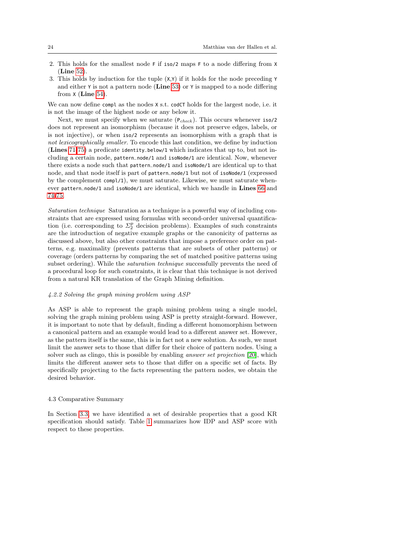- 2. This holds for the smallest node F if iso/2 maps F to a node differing from X (Line [52\)](#page-24-19).
- 3. This holds by induction for the tuple  $(X,Y)$  if it holds for the node preceding Y and either  $\gamma$  is not a pattern node (Line [53\)](#page-24-20) or  $\gamma$  is mapped to a node differing from  $X$  (Line [54\)](#page-24-21).

We can now define compl as the nodes  $X$  s.t. codCT holds for the largest node, i.e. it is not the image of the highest node or any below it.

Next, we must specify when we saturate  $(P_{check})$ . This occurs whenever iso/2 does not represent an isomorphism (because it does not preserve edges, labels, or is not injective), or when iso/2 represents an isomorphism with a graph that is not lexicographically smaller. To encode this last condition, we define by induction (Lines [71](#page-24-22)[-75\)](#page-24-23) a predicate identity\_below/1 which indicates that up to, but not including a certain node, pattern\_node/1 and isoNode/1 are identical. Now, whenever there exists a node such that pattern\_node/1 and isoNode/1 are identical up to that node, and that node itself is part of pattern\_node/1 but not of isoNode/1 (expressed by the complement compl/1), we must saturate. Likewise, we must saturate when-ever pattern\_node/1 and isoNode/1 are identical, which we handle in Lines [66](#page-24-24) and [74-](#page-24-25)[75.](#page-24-23)

Saturation technique Saturation as a technique is a powerful way of including constraints that are expressed using formulas with second-order universal quantification (i.e. corresponding to  $\Sigma_2^p$  decision problems). Examples of such constraints are the introduction of negative example graphs or the canonicity of patterns as discussed above, but also other constraints that impose a preference order on patterns, e.g. maximality (prevents patterns that are subsets of other patterns) or coverage (orders patterns by comparing the set of matched positive patterns using subset ordering). While the *saturation technique* successfully prevents the need of a procedural loop for such constraints, it is clear that this technique is not derived from a natural KR translation of the Graph Mining definition.

### <span id="page-23-0"></span>4.2.2 Solving the graph mining problem using ASP

As ASP is able to represent the graph mining problem using a single model, solving the graph mining problem using ASP is pretty straight-forward. However, it is important to note that by default, finding a different homomorphism between a canonical pattern and an example would lead to a different answer set. However, as the pattern itself is the same, this is in fact not a new solution. As such, we must limit the answer sets to those that differ for their choice of pattern nodes. Using a solver such as clingo, this is possible by enabling answer set projection [\[20\]](#page-40-9), which limits the different answer sets to those that differ on a specific set of facts. By specifically projecting to the facts representing the pattern nodes, we obtain the desired behavior.

#### 4.3 Comparative Summary

In Section [3.3,](#page-9-0) we have identified a set of desirable properties that a good KR specification should satisfy. Table [1](#page-25-0) summarizes how IDP and ASP score with respect to these properties.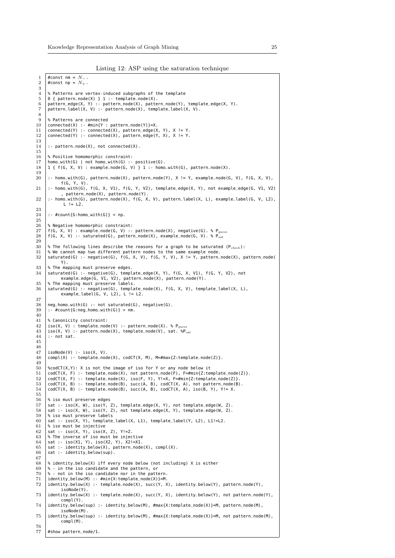Listing 12: ASP using the saturation technique

```
1 #const nm = N_.<br>2 #const nn = N_.
       #const np = N_+.
 3
 4 \times Patterns are vertex-induced subgraphs of the template
  5 0 { pattern_node(X) } 1 :- template_node(X).
6 pattern_edge(X, Y) :- pattern_node(X), pattern_node(Y), template_edge(X, Y).
 7 \mid pattern_label(X, V) :- pattern_node(X), template_label(X, V).
 8
9 % Patterns are connected<br>10 connected(X) :- #min{Y :
10 connected(X) :- #min{Y : pattern_node(Y)}=X.
11 connected(Y) :- connected(X), pattern_edge(X, Y), X != Y.
12 connected(Y) :- connected(X), pattern_edge(Y, X), X != Y.
13
14 : pattern_node(X), not connected(X).
15
16 % Positive homomorphic constraint:<br>17 homo with(G) I not homo with(G) :-
17 homo_with(G) \mid not \; home_with(G) : - positive(G).<br>
18 1 { f(G, X, V) : example \; node(G, V) \} 1 :- homo
       1 { f(G, X, V) : example_node(G, V) } 1 :- homo_with(G), pattern_node(X).
\frac{19}{20}20 :- homo_with(G), pattern_node(X), pattern_node(Y), X != Y, example_node(G, V), f(G, X, V),
              f(G, Y, V).
21 :- homo_with(G), f(G, X, V1), f(G, Y, V2), template_edge(X, Y), not example_edge(G, V1, V2)
, pattern_node(X), pattern_node(Y).
22 :- homo_with(G), pattern_node(X), f(G, X, V), pattern_label(X, L), example_label(G, V, L2),
                L != L2.
\frac{23}{24}: #count{G:homo_with(G)} < np.
25
26 % Negative homomorphic constraint:<br>27 f(G, X, V) : example node(G, V) :-
27 f(G, X, V) : example_node(G, V) :- pattern_node(X), negative(G). \frac{8}{3} P_{guess}f(G, X, V) :- saturated(G), pattern_node(X), example_node(G, V). % P_{sat}29
30 \frac{1}{8} The following lines describe the reasons for a graph to be saturated (P<sub>check</sub>):<br>31 \frac{1}{8} We cannot map two different pattern nodes to the same example node.
       % We cannot map two different pattern nodes to the same example node.
32 saturated(G) :- negative(G), f(G, X, V), f(G, Y, V), X = Y, pattern_node(X), pattern_node(
              Y).
33 \frac{1}{3} The mapping must preserve edges.<br>34 saturated(G) :- negative(G), temple
       saturated(G) :- negative(G), template_edge(X, Y), f(G, X, V1), f(G, Y, V2), not
               example_edge(G, V1, V2), pattern_node(X), pattern_node(Y).
35 \frac{1}{3} The mapping must preserve labels.
36 saturated(G) :- negative(G), template_node(X), f(G, X, V), template_label(X, L), example_label(G, V, L2), L != L2.
\frac{37}{38}38 neg_homo_with(G) :- not saturated(G), negative(G).<br>39 :- #count{G:neg homo with(G)} > nm.
       \therefore #count{G:neg_homo_with(G)} > nm.
40
41 % Canonicity constraint:<br>42 iso(X, V) : template nod
42 \left| \text{iso}(X, V) \right|: template_node(V) :- pattern_node(X). % P_{guess}<br>43 \left| \text{iso}(X, V) \right|:- pattern_node(X), template_node(V), sat. %P.
43 \left| \begin{array}{llllll} \text{iso}(X, V) & \text{:\quad pattern-mode}(X), & \text{template-mode}(V), & \text{sat.} & \text{``P}_{sat} \\ \text{:\quad not sat.} & & & & & & & \\ \end{array} \right|: - \text{not} \text{ sat}.45
46
47 isoNode(V) :- iso(X, V).
48 \mid \text{compl}(X) :- template_node(X), codCT(X, M), M=#max{Z:template_node(Z)}.
49<br>50
50 \big| %codCT(X,Y): X is not the image of iso for Y or any node below it<br>51 codCT(X, F) :- template_node(X), not pattern_node(F), F=#min{Z:te
       codCT(X, F) :- template_node(X), not pattern_node(F), F=\#min{Z:template\_node(Z)}.
52 \vert codCT(X, F) :- template_node(X), iso(F, Y), Y!=X, F=#min{Z:template_node(Z)}.
53 codCT(X, B) :- template_node(B), succ(A, B), codCT(X, A), not pattern_node(B).
54 \vert codCT(X, B) :- template_node(B), succ(A, B), codCT(X, A), iso(B, Y), Y!= X.
\frac{55}{56}56 % iso must preserve edges<br>57 sat :- iso(X, W), iso(Y,
57 \begin{vmatrix} 53 & 1 \end{vmatrix} sat :- iso(X, W), iso(Y, Z), template_edge(X, Y), not template_edge(W, Z).<br>58 sat :- iso(X, W), iso(Y, Z), not template edge(X, Y), template edge(W, Z).
58 \begin{vmatrix} 53 & 1 & 1 & 1 \\ 54 & 1 & 1 & 1 \\ 59 & 1 & 1 & 1 \\ 59 & 1 & 1 & 1 \\ 50 & 1 & 1 & 1 \\ 50 & 1 & 1 & 1 \\ 50 & 1 & 1 & 1 \\ 50 & 1 & 1 & 1 \\ 50 & 1 & 1 & 1 \\ 51 & 1 & 1 & 1 \\ 52 & 1 & 1 & 1 \\ 559 % iso must preserve labels
60 sat :- iso(X, Y), template_label(X, L1), template_label(Y, L2), L1!=L2.
61 % iso must be injective
62 sat :- iso(X, Y), iso(X, Z), Y!=Z.<br>63 % The inverse of iso must be injective
64 sat :- iso(X1, Y), iso(X2, Y), X2!=X1.
65 sat :- identity_below(X), pattern_node(X), compl(X).
66 \vert sat :- identity_below(sup).
\frac{67}{68}68 \frac{1}{8} identity_below(X) iff every node below (not including) X is either 69 \frac{1}{8} - in the iso candidate and the pattern, or
\begin{array}{c|c} 69 & * - \text{in the iso candidate and the pattern, or} \\ 70 & * - \text{in the iso candidate nor in the part} \end{array}% - not in the iso candidate nor in the pattern.
71 identity_below(M) :- #min{X:template_node(X)}=M.
72 identity_below(X) :- template_node(X), succ(Y, X), identity_below(Y), pattern_node(Y),
              isoNode(Y).
73 identity_below(X) :- template_node(X), succ(Y, X), identity_below(Y), not pattern_node(Y),
               compl(Y).
74 identity_below(sup) :- identity_below(M), #max{X:template_node(X)}=M, pattern_node(M),
               isoNode(M).
75 identity_below(sup) :- identity_below(M), #max{X:template_node(X)}=M, not pattern_node(M),
               compl(M).
76
77 | #show pattern_node/1.
```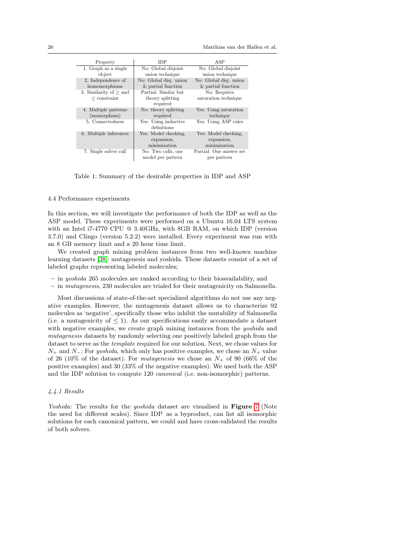<span id="page-25-0"></span>

| Property                 | IDP                    | ASP                     |  |  |  |  |  |
|--------------------------|------------------------|-------------------------|--|--|--|--|--|
| 1. Graph as a single     | No: Global disjoint    | No: Global disjoint     |  |  |  |  |  |
| object                   | union technique        | union technique         |  |  |  |  |  |
| 2. Independence of       | No: Global disj. union | No: Global disj. union  |  |  |  |  |  |
| homomorphisms            | & partial function     | & partial function      |  |  |  |  |  |
| 3. Similarity of $>$ and | Partial: Similar but   | No: Requires            |  |  |  |  |  |
| $\leq$ constraint        | theory splitting       | saturation technique    |  |  |  |  |  |
|                          | required               |                         |  |  |  |  |  |
| 4. Multiple patterns     | No: theory splitting   | Yes: Using saturation   |  |  |  |  |  |
| (isomorphism)            | required               | technique               |  |  |  |  |  |
| 5. Connectedness         | Yes: Using inductive   | Yes: Using ASP rules    |  |  |  |  |  |
|                          | definitions            |                         |  |  |  |  |  |
| 6. Multiple inferences   | Yes: Model checking,   | Yes: Model checking.    |  |  |  |  |  |
|                          | expansion,             | expansion,              |  |  |  |  |  |
|                          | minimization           | minimization            |  |  |  |  |  |
| 7. Single solver call    | No: Two calls, one     | Partial: One answer set |  |  |  |  |  |
|                          | model per pattern      | per pattern             |  |  |  |  |  |

Table 1: Summary of the desirable properties in IDP and ASP

### <span id="page-25-1"></span>4.4 Performance experiments

In this section, we will investigate the performance of both the IDP as well as the ASP model. These experiments were performed on a Ubuntu 16.04 LTS system with an Intel i7-4770 CPU @ 3.40GHz, with 8GB RAM, on which IDP (version 3.7.0) and Clingo (version 5.2.2) were installed. Every experiment was run with an 8 GB memory limit and a 20 hour time limit.

We created graph mining problem instances from two well-known machine learning datasets [\[38\]](#page-41-2): mutagenesis and yoshida. These datasets consist of a set of labeled graphs representing labeled molecules;

- in yoshida 265 molecules are ranked according to their bioavailability, and
- in mutagenesis, 230 molecules are trialed for their mutagenicity on Salmonella.

Most discussions of state-of-the-art specialized algorithms do not use any negative examples. However, the mutagenesis dataset allows us to characterize 92 molecules as 'negative', specifically those who inhibit the mutability of Salmonella (i.e. a mutagenicity of  $\leq$  1). As our specifications easily accommodate a dataset with negative examples, we create graph mining instances from the *yoshida* and mutagenesis datasets by randomly selecting one positively labeled graph from the dataset to serve as the template required for our solution. Next, we chose values for  $N_+$  and  $N_-$ : For *yoshida*, which only has positive examples, we chose an  $N_+$  value of 26 (10% of the dataset). For mutagenesis we chose an  $N_{+}$  of 90 (66% of the positive examples) and 30 (33% of the negative examples). We used both the ASP and the IDP solution to compute 120 canonical (i.e. non-isomorphic) patterns.

#### 4.4.1 Results

Yoshida: The results for the *yoshida* dataset are visualised in **Figure** [7](#page-26-0) (Note the need for different scales). Since IDP as a byproduct, can list all isomorphic solutions for each canonical pattern, we could and have cross-validated the results of both solvers.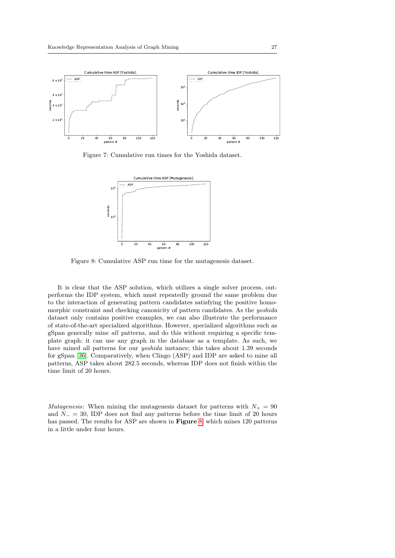<span id="page-26-0"></span>

<span id="page-26-1"></span>Figure 7: Cumulative run times for the Yoshida dataset.



Figure 8: Cumulative ASP run time for the mutagenesis dataset.

It is clear that the ASP solution, which utilizes a single solver process, outperforms the IDP system, which must repeatedly ground the same problem due to the interaction of generating pattern candidates satisfying the positive homomorphic constraint and checking canonicity of pattern candidates. As the yoshida dataset only contains positive examples, we can also illustrate the performance of state-of-the-art specialized algorithms. However, specialized algorithms such as gSpan generally mine all patterns, and do this without requiring a specific template graph: it can use any graph in the database as a template. As such, we have mined all patterns for our *yoshida* instance; this takes about 1.39 seconds for gSpan [\[36\]](#page-40-10). Comparatively, when Clingo (ASP) and IDP are asked to mine all patterns, ASP takes about 282.5 seconds, whereas IDP does not finish within the time limit of 20 hours.

*Mutagenesis:* When mining the mutagenesis dataset for patterns with  $N_+ = 90$ and  $N_ = 30$ , IDP does not find any patterns before the time limit of 20 hours has passed. The results for ASP are shown in **Figure** [8,](#page-26-1) which mines 120 patterns in a little under four hours.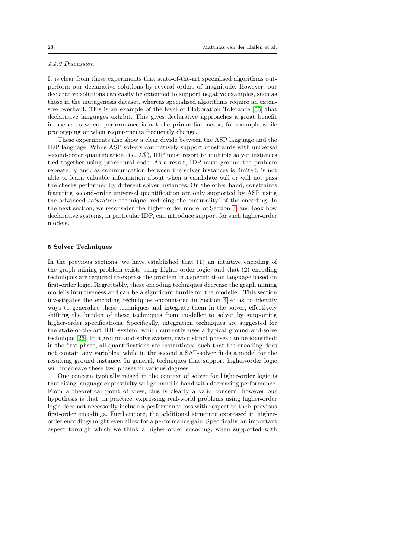### 4.4.2 Discussion

It is clear from these experiments that state-of-the-art specialised algorithms outperform our declarative solutions by several orders of magnitude. However, our declarative solutions can easily be extended to support negative examples, such as those in the mutagenesis dataset, whereas specialised algorithms require an extensive overhaul. This is an example of the level of Elaboration Tolerance [\[33\]](#page-40-0) that declarative languages exhibit. This gives declarative approaches a great benefit in use cases where performance is not the primordial factor, for example while prototyping or when requirements frequently change.

These experiments also show a clear divide between the ASP language and the IDP language. While ASP solvers can natively support constraints with universal second-order quantification (i.e.  $\Sigma_2^p$ ), IDP must resort to multiple solver instances tied together using procedural code. As a result, IDP must ground the problem repeatedly and, as communication between the solver instances is limited, is not able to learn valuable information about when a candidate will or will not pass the checks performed by different solver instances. On the other hand, constraints featuring second-order universal quantification are only supported by ASP using the advanced saturation technique, reducing the 'naturality' of the encoding. In the next section, we reconsider the higher-order model of Section [3,](#page-6-0) and look how declarative systems, in particular IDP, can introduce support for such higher-order models.

#### <span id="page-27-0"></span>5 Solver Techniques

In the previous sections, we have established that (1) an intuitive encoding of the graph mining problem exists using higher-order logic, and that (2) encoding techniques are required to express the problem in a specification language based on first-order logic. Regrettably, these encoding techniques decrease the graph mining model's intuitiveness and can be a significant hurdle for the modeller. This section investigates the encoding techniques encountered in Section [4](#page-11-0) so as to identify ways to generalise these techniques and integrate them in the solver, effectively shifting the burden of these techniques from modeller to solver by supporting higher-order specifications. Specifically, integration techniques are suggested for the state-of-the-art IDP-system, which currently uses a typical ground-and-solve technique [\[26\]](#page-40-11). In a ground-and-solve system, two distinct phases can be identified: in the first phase, all quantifications are instantiated such that the encoding does not contain any variables, while in the second a SAT-solver finds a model for the resulting ground instance. In general, techniques that support higher-order logic will interleave these two phases in various degrees.

One concern typically raised in the context of solver for higher-order logic is that rising language expressivity will go hand in hand with decreasing performance. From a theoretical point of view, this is clearly a valid concern, however our hypothesis is that, in practice, expressing real-world problems using higher-order logic does not necessarily include a performance loss with respect to their previous first-order encodings. Furthermore, the additional structure expressed in higherorder encodings might even allow for a performance gain. Specifically, an important aspect through which we think a higher-order encoding, when supported with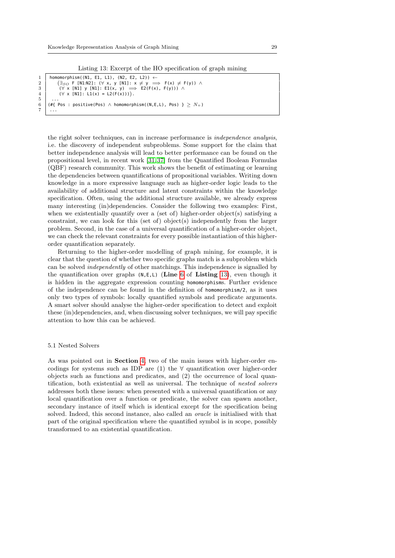$\frac{2}{3}$ 

<span id="page-28-0"></span> $^5$  6  $\,$ 

Listing 13: Excerpt of the HO specification of graph mining

```
1 homomorphism((N1, E1, L1), (N2, E2, L2)) ←
2 \begin{array}{lcl} \left( \exists_{SO} \ \textsf{F} \ [ \textsf{N1}: \textsf{N2}]: \ (\forall \ \textsf{x}, \ \textsf{y} \ [ \textsf{N1}]: \ \textsf{x} \neq \textsf{y} \end{array} \Rightarrow \ \textsf{F(x)} \neq \textsf{F(y)} \ ) \ \land \ \left( \forall \ \textsf{x} \ [ \textsf{N1}] \ \textsf{y} \ [ \textsf{N1}]: \ \textsf{E1(x, y)} \implies \textsf{E2(F(x), F(y))}) \ \land \ \end{array} \right.4 (\forall x [N1]: L1(x) = L2(F(x)))).
         (#{ Pos : positive(Pos) \land homomorphism((N,E,L), Pos) } \geq N_+)
7 ...
```
the right solver techniques, can in increase performance is independence analysis, i.e. the discovery of independent subproblems. Some support for the claim that better independence analysis will lead to better performance can be found on the propositional level, in recent work [\[31,](#page-40-12) [37\]](#page-41-3) from the Quantified Boolean Formulas (QBF) research community. This work shows the benefit of estimating or learning the dependencies between quantifications of propositional variables. Writing down knowledge in a more expressive language such as higher-order logic leads to the availability of additional structure and latent constraints within the knowledge specification. Often, using the additional structure available, we already express many interesting (in)dependencies. Consider the following two examples: First, when we existentially quantify over a (set of) higher-order object(s) satisfying a constraint, we can look for this (set of) object(s) independently from the larger problem. Second, in the case of a universal quantification of a higher-order object, we can check the relevant constraints for every possible instantiation of this higherorder quantification separately.

Returning to the higher-order modelling of graph mining, for example, it is clear that the question of whether two specific graphs match is a subproblem which can be solved independently of other matchings. This independence is signalled by the quantification over graphs  $(N, E, L)$  (Line [6](#page-28-0) of Listing [13\)](#page-28-1), even though it is hidden in the aggregate expression counting homomorphisms. Further evidence of the independence can be found in the definition of homomorphism/2, as it uses only two types of symbols: locally quantified symbols and predicate arguments. A smart solver should analyse the higher-order specification to detect and exploit these (in)dependencies, and, when discussing solver techniques, we will pay specific attention to how this can be achieved.

#### 5.1 Nested Solvers

As was pointed out in Section [4,](#page-11-0) two of the main issues with higher-order encodings for systems such as IDP are  $(1)$  the  $\forall$  quantification over higher-order objects such as functions and predicates, and (2) the occurrence of local quantification, both existential as well as universal. The technique of nested solvers addresses both these issues: when presented with a universal quantification or any local quantification over a function or predicate, the solver can spawn another, secondary instance of itself which is identical except for the specification being solved. Indeed, this second instance, also called an *oracle* is initialised with that part of the original specification where the quantified symbol is in scope, possibly transformed to an existential quantification.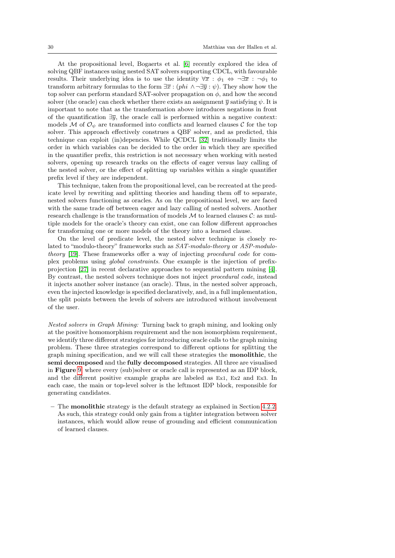At the propositional level, Bogaerts et al. [\[6\]](#page-39-14) recently explored the idea of solving QBF instances using nested SAT solvers supporting CDCL, with favourable results. Their underlying idea is to use the identity  $\forall \bar{x} : \phi_1 \Leftrightarrow \neg \exists \bar{x} : \neg \phi_1$  to transform arbitrary formulas to the form  $\exists \overline{x} : (phi \wedge \neg \exists \overline{y} : \psi)$ . They show how the top solver can perform standard SAT-solver propagation on  $\phi$ , and how the second solver (the oracle) can check whether there exists an assignment  $\overline{y}$  satisfying  $\psi$ . It is important to note that as the transformation above introduces negations in front of the quantification  $\exists \overline{y}$ , the oracle call is performed within a negative context: models M of  $\mathcal{O}_{\psi}$  are transformed into conflicts and learned clauses C for the top solver. This approach effectively construes a QBF solver, and as predicted, this technique can exploit (in)depencies. While QCDCL [\[32\]](#page-40-13) traditionally limits the order in which variables can be decided to the order in which they are specified in the quantifier prefix, this restriction is not necessary when working with nested solvers, opening up research tracks on the effects of eager versus lazy calling of the nested solver, or the effect of splitting up variables within a single quantifier prefix level if they are independent.

This technique, taken from the propositional level, can be recreated at the predicate level by rewriting and splitting theories and handing them off to separate, nested solvers functioning as oracles. As on the propositional level, we are faced with the same trade off between eager and lazy calling of nested solvers. Another research challenge is the transformation of models  $\mathcal M$  to learned clauses  $\mathcal C$ : as multiple models for the oracle's theory can exist, one can follow different approaches for transforming one or more models of the theory into a learned clause.

On the level of predicate level, the nested solver technique is closely related to "modulo-theory" frameworks such as SAT-modulo-theory or ASP-modulotheory [\[19\]](#page-40-14). These frameworks offer a way of injecting procedural code for complex problems using global constraints. One example is the injection of prefixprojection [\[27\]](#page-40-15) in recent declarative approaches to sequential pattern mining [\[4\]](#page-39-15). By contrast, the nested solvers technique does not inject procedural code, instead it injects another solver instance (an oracle). Thus, in the nested solver approach, even the injected knowledge is specified declaratively, and, in a full implementation, the split points between the levels of solvers are introduced without involvement of the user.

Nested solvers in Graph Mining: Turning back to graph mining, and looking only at the positive homomorphism requirement and the non isomorphism requirement, we identify three different strategies for introducing oracle calls to the graph mining problem. These three strategies correspond to different options for splitting the graph mining specification, and we will call these strategies the monolithic, the semi decomposed and the fully decomposed strategies. All three are visualised in Figure [9,](#page-31-0) where every (sub)solver or oracle call is represented as an IDP block, and the different positive example graphs are labeled as Ex1, Ex2 and Ex3. In each case, the main or top-level solver is the leftmost IDP block, responsible for generating candidates.

– The monolithic strategy is the default strategy as explained in Section [4.2.2.](#page-23-0) As such, this strategy could only gain from a tighter integration between solver instances, which would allow reuse of grounding and efficient communication of learned clauses.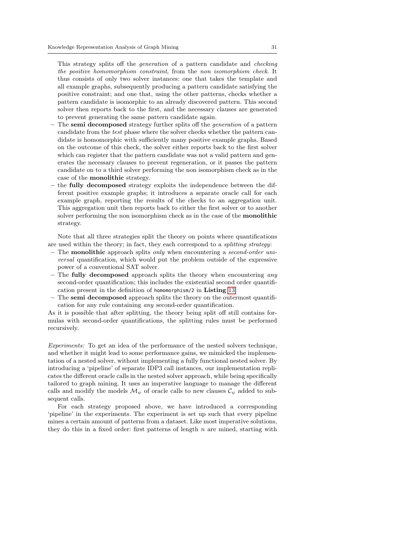This strategy splits off the generation of a pattern candidate and checking the positive homomorphism constraint, from the non isomorphism check. It thus consists of only two solver instances: one that takes the template and all example graphs, subsequently producing a pattern candidate satisfying the positive constraint; and one that, using the other patterns, checks whether a pattern candidate is isomorphic to an already discovered pattern. This second solver then reports back to the first, and the necessary clauses are generated to prevent generating the same pattern candidate again.

- The **semi decomposed** strategy further splits off the *generation* of a pattern candidate from the test phase where the solver checks whether the pattern candidate is homomorphic with sufficiently many positive example graphs. Based on the outcome of this check, the solver either reports back to the first solver which can register that the pattern candidate was not a valid pattern and generates the necessary clauses to prevent regeneration, or it passes the pattern candidate on to a third solver performing the non isomorphism check as in the case of the monolithic strategy.
- the fully decomposed strategy exploits the independence between the different positive example graphs; it introduces a separate oracle call for each example graph, reporting the results of the checks to an aggregation unit. This aggregation unit then reports back to either the first solver or to another solver performing the non isomorphism check as in the case of the **monolithic** strategy.

Note that all three strategies split the theory on points where quantifications are used within the theory; in fact, they each correspond to a splitting strategy:

- The **monolithic** approach splits *only* when encountering a second-order universal quantification, which would put the problem outside of the expressive power of a conventional SAT solver.
- The **fully decomposed** approach splits the theory when encountering any second-order quantification; this includes the existential second order quantification present in the definition of homomorphism/2 in Listing [13.](#page-28-1)
- The **semi decomposed** approach splits the theory on the outermost quantification for any rule containing any second-order quantification.

As it is possible that after splitting, the theory being split off still contains formulas with second-order quantifications, the splitting rules must be performed recursively.

Experiments: To get an idea of the performance of the nested solvers technique, and whether it might lead to some performance gains, we mimicked the implementation of a nested solver, without implementing a fully functional nested solver. By introducing a 'pipeline' of separate IDP3 call instances, our implementation replicates the different oracle calls in the nested solver approach, while being specifically tailored to graph mining. It uses an imperative language to manage the different calls and modify the models  $\mathcal{M}_{\psi}$  of oracle calls to new clauses  $\mathcal{C}_{\psi}$  added to subsequent calls.

For each strategy proposed above, we have introduced a corresponding 'pipeline' in the experiments. The experiment is set up such that every pipeline mines a certain amount of patterns from a dataset. Like most imperative solutions, they do this in a fixed order: first patterns of length  $n$  are mined, starting with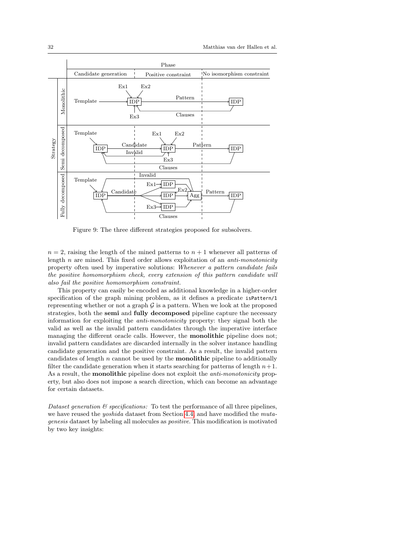<span id="page-31-0"></span>

Figure 9: The three different strategies proposed for subsolvers.

 $n = 2$ , raising the length of the mined patterns to  $n + 1$  whenever all patterns of length  $n$  are mined. This fixed order allows exploitation of an *anti-monotonicity* property often used by imperative solutions: Whenever a pattern candidate fails the positive homomorphism check, every extension of this pattern candidate will also fail the positive homomorphism constraint.

This property can easily be encoded as additional knowledge in a higher-order specification of the graph mining problem, as it defines a predicate isPattern/1 representing whether or not a graph  $\mathcal G$  is a pattern. When we look at the proposed strategies, both the semi and fully decomposed pipeline capture the necessary information for exploiting the anti-monotonicity property: they signal both the valid as well as the invalid pattern candidates through the imperative interface managing the different oracle calls. However, the monolithic pipeline does not; invalid pattern candidates are discarded internally in the solver instance handling candidate generation and the positive constraint. As a result, the invalid pattern candidates of length  $n$  cannot be used by the **monolithic** pipeline to additionally filter the candidate generation when it starts searching for patterns of length  $n+1$ . As a result, the **monolithic** pipeline does not exploit the *anti-monotonicity* property, but also does not impose a search direction, which can become an advantage for certain datasets.

Dataset generation  $\mathcal{C}$  specifications: To test the performance of all three pipelines, we have reused the *yoshida* dataset from Section [4.4,](#page-25-1) and have modified the *muta*genesis dataset by labeling all molecules as positive. This modification is motivated by two key insights: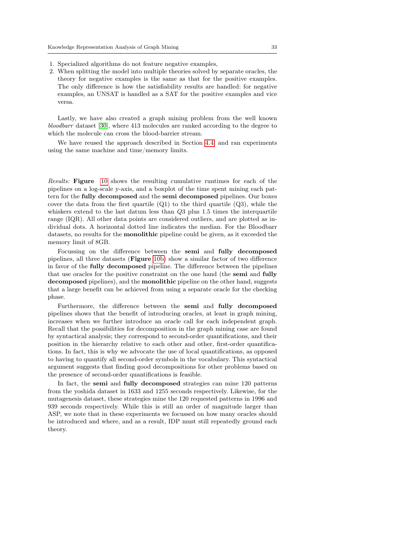- 1. Specialized algorithms do not feature negative examples,
- 2. When splitting the model into multiple theories solved by separate oracles, the theory for negative examples is the same as that for the positive examples. The only difference is how the satisfiability results are handled: for negative examples, an UNSAT is handled as a SAT for the positive examples and vice versa.

Lastly, we have also created a graph mining problem from the well known bloodbarr dataset [\[30\]](#page-40-16), where 413 molecules are ranked according to the degree to which the molecule can cross the blood-barrier stream.

We have reused the approach described in Section [4.4,](#page-25-1) and ran experiments using the same machine and time/memory limits.

Results: Figure [10](#page-33-0) shows the resulting cumulative runtimes for each of the pipelines on a log-scale y-axis, and a boxplot of the time spent mining each pattern for the fully decomposed and the semi decomposed pipelines. Our boxes cover the data from the first quartile  $(Q1)$  to the third quartile  $(Q3)$ , while the whiskers extend to the last datum less than  $Q3$  plus 1.5 times the interquartile range (IQR). All other data points are considered outliers, and are plotted as individual dots. A horizontal dotted line indicates the median. For the Bloodbarr datasets, no results for the monolithic pipeline could be given, as it exceeded the memory limit of 8GB.

Focussing on the difference between the semi and fully decomposed pipelines, all three datasets (Figure [10b\)](#page-33-1) show a similar factor of two difference in favor of the fully decomposed pipeline. The difference between the pipelines that use oracles for the positive constraint on the one hand (the semi and fully decomposed pipelines), and the monolithic pipeline on the other hand, suggests that a large benefit can be achieved from using a separate oracle for the checking phase.

Furthermore, the difference between the semi and fully decomposed pipelines shows that the benefit of introducing oracles, at least in graph mining, increases when we further introduce an oracle call for each independent graph. Recall that the possibilities for decomposition in the graph mining case are found by syntactical analysis; they correspond to second-order quantifications, and their position in the hierarchy relative to each other and other, first-order quantifications. In fact, this is why we advocate the use of local quantifications, as opposed to having to quantify all second-order symbols in the vocabulary. This syntactical argument suggests that finding good decompositions for other problems based on the presence of second-order quantifications is feasible.

In fact, the semi and fully decomposed strategies can mine 120 patterns from the yoshida dataset in 1633 and 1255 seconds respectively. Likewise, for the mutagenesis dataset, these strategies mine the 120 requested patterns in 1996 and 939 seconds respectively. While this is still an order of magnitude larger than ASP, we note that in these experiments we focussed on how many oracles should be introduced and where, and as a result, IDP must still repeatedly ground each theory.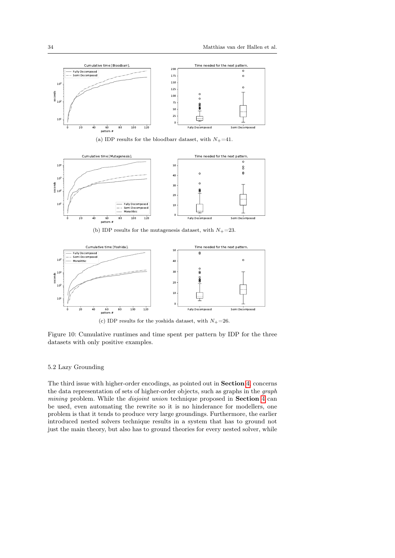<span id="page-33-0"></span>

(a) IDP results for the bloodbarr dataset, with  $N_{+}=41$ .

<span id="page-33-1"></span>

(b) IDP results for the mutagenesis dataset, with  $N_{+}=23$ .



(c) IDP results for the yoshida dataset, with  $N_{+}$ =26.

Figure 10: Cumulative runtimes and time spent per pattern by IDP for the three datasets with only positive examples.

# <span id="page-33-2"></span>5.2 Lazy Grounding

The third issue with higher-order encodings, as pointed out in Section [4,](#page-11-0) concerns the data representation of sets of higher-order objects, such as graphs in the graph mining problem. While the *disjoint union* technique proposed in **Section** [4](#page-11-0) can be used, even automating the rewrite so it is no hinderance for modellers, one problem is that it tends to produce very large groundings. Furthermore, the earlier introduced nested solvers technique results in a system that has to ground not just the main theory, but also has to ground theories for every nested solver, while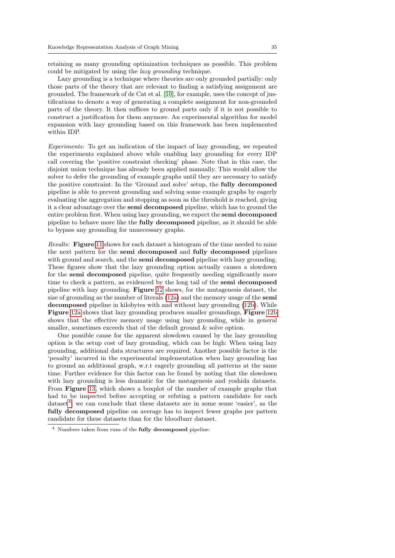retaining as many grounding optimization techniques as possible. This problem could be mitigated by using the lazy grounding technique.

Lazy grounding is a technique where theories are only grounded partially: only those parts of the theory that are relevant to finding a satisfying assignment are grounded. The framework of de Cat et al. [\[10\]](#page-39-16), for example, uses the concept of justifications to denote a way of generating a complete assignment for non-grounded parts of the theory. It then suffices to ground parts only if it is not possible to construct a justification for them anymore. An experimental algorithm for model expansion with lazy grounding based on this framework has been implemented within IDP.

Experiments: To get an indication of the impact of lazy grounding, we repeated the experiments explained above while enabling lazy grounding for every IDP call covering the 'positive constraint checking' phase. Note that in this case, the disjoint union technique has already been applied manually. This would allow the solver to defer the grounding of example graphs until they are necessary to satisfy the positive constraint. In the 'Ground and solve' setup, the fully decomposed pipeline is able to prevent grounding and solving some example graphs by eagerly evaluating the aggregation and stopping as soon as the threshold is reached, giving it a clear advantage over the semi decomposed pipeline, which has to ground the entire problem first. When using lazy grounding, we expect the semi decomposed pipeline to behave more like the fully decomposed pipeline, as it should be able to bypass any grounding for unnecessary graphs.

Results: Figure [11](#page-35-0) shows for each dataset a histogram of the time needed to mine the next pattern for the semi decomposed and fully decomposed pipelines with ground and search, and the **semi decomposed** pipeline with lazy grounding. These figures show that the lazy grounding option actually causes a slowdown for the semi decomposed pipeline, quite frequently needing significantly more time to check a pattern, as evidenced by the long tail of the semi decomposed pipeline with lazy grounding. Figure [12](#page-36-0) shows, for the mutagenesis dataset, the size of grounding as the number of literals [\(12a\)](#page-36-1) and the memory usage of the semi decomposed pipeline in kilobytes with and without lazy grounding [\(12b\)](#page-36-2). While Figure [12a](#page-36-1) shows that lazy grounding produces smaller groundings, Figure [12b](#page-36-2) shows that the effective memory usage using lazy grounding, while in general smaller, sometimes exceeds that of the default ground  $\&$  solve option.

One possible cause for the apparent slowdown caused by the lazy grounding option is the setup cost of lazy grounding, which can be high: When using lazy grounding, additional data structures are required. Another possible factor is the 'penalty' incurred in the experimental implementation when lazy grounding has to ground an additional graph, w.r.t eagerly grounding all patterns at the same time. Further evidence for this factor can be found by noting that the slowdown with lazy grounding is less dramatic for the mutagenesis and yoshida datasets. From Figure [13,](#page-36-3) which shows a boxplot of the number of example graphs that had to be inspected before accepting or refuting a pattern candidate for each dataset<sup>[4](#page-34-0)</sup>, we can conclude that these datasets are in some sense 'easier', as the fully decomposed pipeline on average has to inspect fewer graphs per pattern candidate for these datasets than for the bloodbarr dataset.

<span id="page-34-0"></span><sup>4</sup> Numbers taken from runs of the fully decomposed pipeline.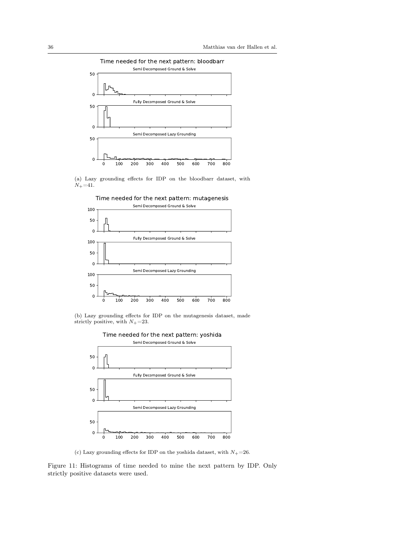<span id="page-35-0"></span>

(a) Lazy grounding effects for IDP on the bloodbarr dataset, with  $N_+ = 41.$ 



Time needed for the next pattern: mutagenesis





(c) Lazy grounding effects for IDP on the yoshida dataset, with  $N_{+}=26$ .

Figure 11: Histograms of time needed to mine the next pattern by IDP. Only strictly positive datasets were used.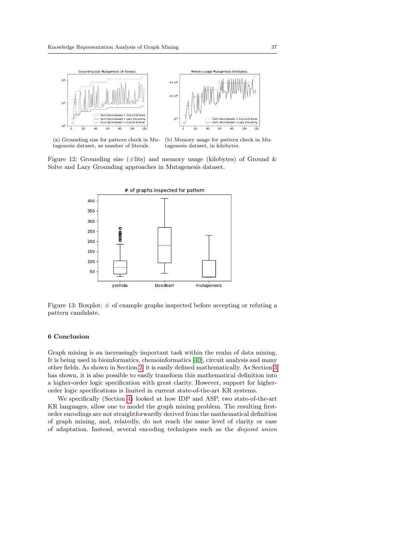<span id="page-36-0"></span>

<span id="page-36-1"></span>(a) Grounding size for pattern check in Mutagenesis dataset, as number of literals.

<span id="page-36-2"></span>(b) Memory usage for pattern check in Mutagenesis dataset, in kilobytes.

<span id="page-36-3"></span>Figure 12: Grounding size (#lits) and memory usage (kilobytes) of Ground  $\&$ Solve and Lazy Grounding approaches in Mutagenesis dataset.



Figure 13: Boxplot:  $\#$  of example graphs inspected before accepting or refuting a pattern candidate.

# 6 Conclusion

Graph mining is an increasingly important task within the realm of data mining. It is being used in bioinformatics, chemoinformatics [\[40\]](#page-41-4), circuit analysis and many other fields. As shown in Section [2,](#page-3-1) it is easily defined mathematically. As Section [3](#page-6-0) has shown, it is also possible to easily transform this mathematical definition into a higher-order logic specification with great clarity. However, support for higherorder logic specifications is limited in current state-of-the-art KR systems.

We specifically (Section [4\)](#page-11-0) looked at how IDP and ASP, two state-of-the-art KR languages, allow one to model the graph mining problem. The resulting firstorder encodings are not straightforwardly derived from the mathematical definition of graph mining, and, relatedly, do not reach the same level of clarity or ease of adaptation. Instead, several encoding techniques such as the disjoint union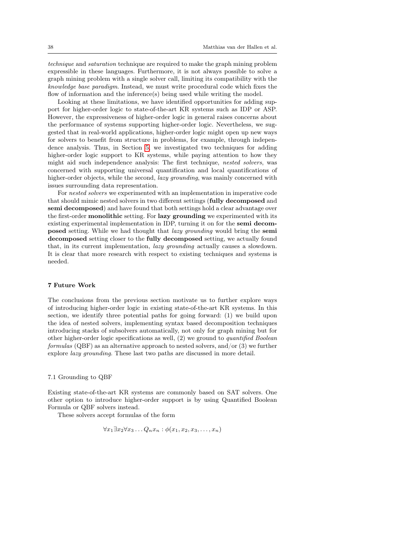technique and saturation technique are required to make the graph mining problem expressible in these languages. Furthermore, it is not always possible to solve a graph mining problem with a single solver call, limiting its compatibility with the knowledge base paradigm. Instead, we must write procedural code which fixes the flow of information and the inference(s) being used while writing the model.

Looking at these limitations, we have identified opportunities for adding support for higher-order logic to state-of-the-art KR systems such as IDP or ASP. However, the expressiveness of higher-order logic in general raises concerns about the performance of systems supporting higher-order logic. Nevertheless, we suggested that in real-world applications, higher-order logic might open up new ways for solvers to benefit from structure in problems, for example, through independence analysis. Thus, in Section [5,](#page-27-0) we investigated two techniques for adding higher-order logic support to KR systems, while paying attention to how they might aid such independence analysis: The first technique, nested solvers, was concerned with supporting universal quantification and local quantifications of higher-order objects, while the second, *lazy grounding*, was mainly concerned with issues surrounding data representation.

For nested solvers we experimented with an implementation in imperative code that should mimic nested solvers in two different settings (fully decomposed and semi decomposed) and have found that both settings hold a clear advantage over the first-order monolithic setting. For lazy grounding we experimented with its existing experimental implementation in IDP, turning it on for the semi decomposed setting. While we had thought that lazy grounding would bring the semi decomposed setting closer to the fully decomposed setting, we actually found that, in its current implementation, lazy grounding actually causes a slowdown. It is clear that more research with respect to existing techniques and systems is needed.

### 7 Future Work

The conclusions from the previous section motivate us to further explore ways of introducing higher-order logic in existing state-of-the-art KR systems. In this section, we identify three potential paths for going forward: (1) we build upon the idea of nested solvers, implementing syntax based decomposition techniques introducing stacks of subsolvers automatically, not only for graph mining but for other higher-order logic specifications as well, (2) we ground to quantified Boolean formulas (QBF) as an alternative approach to nested solvers, and/or  $(3)$  we further explore lazy grounding. These last two paths are discussed in more detail.

7.1 Grounding to QBF

Existing state-of-the-art KR systems are commonly based on SAT solvers. One other option to introduce higher-order support is by using Quantified Boolean Formula or QBF solvers instead.

These solvers accept formulas of the form

 $\forall x_1 \exists x_2 \forall x_3 \ldots Q_n x_n : \phi(x_1, x_2, x_3, \ldots, x_n)$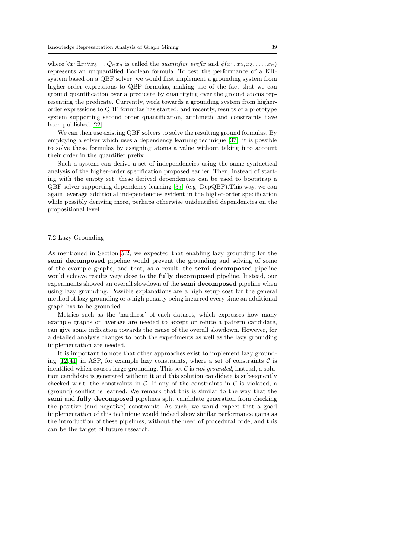where  $\forall x_1 \exists x_2 \forall x_3 \dots Q_n x_n$  is called the *quantifier prefix* and  $\phi(x_1, x_2, x_3, \dots, x_n)$ represents an unquantified Boolean formula. To test the performance of a KRsystem based on a QBF solver, we would first implement a grounding system from higher-order expressions to QBF formulas, making use of the fact that we can ground quantification over a predicate by quantifying over the ground atoms representing the predicate. Currently, work towards a grounding system from higherorder expressions to QBF formulas has started, and recently, results of a prototype system supporting second order quantification, arithmetic and constraints have been published [\[22\]](#page-40-17).

We can then use existing QBF solvers to solve the resulting ground formulas. By employing a solver which uses a dependency learning technique [\[37\]](#page-41-3), it is possible to solve these formulas by assigning atoms a value without taking into account their order in the quantifier prefix.

Such a system can derive a set of independencies using the same syntactical analysis of the higher-order specification proposed earlier. Then, instead of starting with the empty set, these derived dependencies can be used to bootstrap a QBF solver supporting dependency learning [\[37\]](#page-41-3) (e.g. DepQBF).This way, we can again leverage additional independencies evident in the higher-order specification while possibly deriving more, perhaps otherwise unidentified dependencies on the propositional level.

#### 7.2 Lazy Grounding

As mentioned in Section [5.2,](#page-33-2) we expected that enabling lazy grounding for the semi decomposed pipeline would prevent the grounding and solving of some of the example graphs, and that, as a result, the semi decomposed pipeline would achieve results very close to the fully decomposed pipeline. Instead, our experiments showed an overall slowdown of the semi decomposed pipeline when using lazy grounding. Possible explanations are a high setup cost for the general method of lazy grounding or a high penalty being incurred every time an additional graph has to be grounded.

Metrics such as the 'hardness' of each dataset, which expresses how many example graphs on average are needed to accept or refute a pattern candidate, can give some indication towards the cause of the overall slowdown. However, for a detailed analysis changes to both the experiments as well as the lazy grounding implementation are needed.

It is important to note that other approaches exist to implement lazy grounding  $[12, 41]$  $[12, 41]$  in ASP, for example lazy constraints, where a set of constraints C is identified which causes large grounding. This set  $\mathcal C$  is not grounded, instead, a solution candidate is generated without it and this solution candidate is subsequently checked w.r.t. the constraints in  $\mathcal{C}$ . If any of the constraints in  $\mathcal{C}$  is violated, a (ground) conflict is learned. We remark that this is similar to the way that the semi and fully decomposed pipelines split candidate generation from checking the positive (and negative) constraints. As such, we would expect that a good implementation of this technique would indeed show similar performance gains as the introduction of these pipelines, without the need of procedural code, and this can be the target of future research.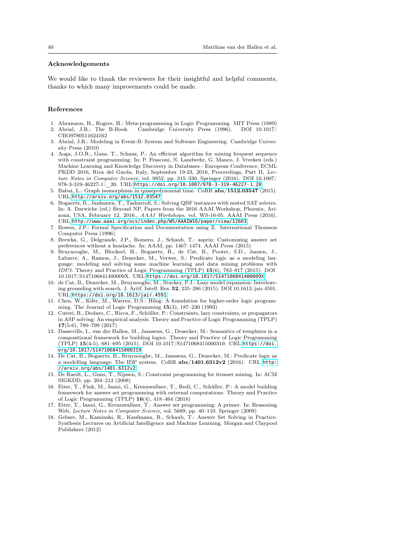#### Acknowledgements

We would like to thank the reviewers for their insightful and helpful comments, thanks to which many improvements could be made.

#### References

- <span id="page-39-3"></span>1. Abramson, H., Rogers, H.: Meta-programming in Logic Programming. MIT Press (1989)
- <span id="page-39-7"></span>2. Abrial, J.R.: The B-Book. Cambridge University Press (1996). DOI 10.1017/ CBO9780511624162
- <span id="page-39-8"></span>3. Abrial, J.R.: Modeling in Event-B: System and Software Engineering. Cambridge University Press (2010)
- <span id="page-39-15"></span>4. Aoga, J.O.R., Guns, T., Schaus, P.: An efficient algorithm for mining frequent sequence with constraint programming. In: P. Frasconi, N. Landwehr, G. Manco, J. Vreeken (eds.) Machine Learning and Knowledge Discovery in Databases - European Conference, ECML PKDD 2016, Riva del Garda, Italy, September 19-23, 2016, Proceedings, Part II, Lecture Notes in Computer Science, vol. 9852, pp. 315–330. Springer (2016). DOI 10.1007/  $978-3-319-46227-1$  20. URL [https://doi.org/10.1007/978-3-319-46227-1\\_20](https://doi.org/10.1007/978-3-319-46227-1_20)
- <span id="page-39-13"></span>5. Babai, L.: Graph isomorphism in quasipolynomial time. CoRR abs/1512.03547 (2015). URL <http://arxiv.org/abs/1512.03547>
- <span id="page-39-14"></span>6. Bogaerts, B., Janhunen, T., Tasharrofi, S.: Solving QBF instances with nested SAT solvers. In: A. Darwiche (ed.) Beyond NP, Papers from the 2016 AAAI Workshop, Phoenix, Arizona, USA, February 12, 2016., AAAI Workshops, vol. WS-16-05. AAAI Press (2016). URL <http://www.aaai.org/ocs/index.php/WS/AAAIW16/paper/view/12603>
- <span id="page-39-6"></span>7. Bowen, J.P.: Formal Specification and Documentation using Z. International Thomson Computer Press (1996)
- <span id="page-39-2"></span>8. Brewka, G., Delgrande, J.P., Romero, J., Schaub, T.: asprin: Customizing answer set preferences without a headache. In: AAAI, pp. 1467–1474. AAAI Press (2015)
- <span id="page-39-0"></span>9. Bruynooghe, M., Blockeel, H., Bogaerts, B., de Cat, B., Pooter, S.D., Jansen, J., Labarre, A., Ramon, J., Denecker, M., Verwer, S.: Predicate logic as a modeling language: modeling and solving some machine learning and data mining problems with IDP3. Theory and Practice of Logic Programming (TPLP) 15(6), 783–817 (2015). DOI 10.1017/S147106841400009X. URL <https://doi.org/10.1017/S147106841400009X>
- <span id="page-39-16"></span>10. de Cat, B., Denecker, M., Bruynooghe, M., Stuckey, P.J.: Lazy model expansion: Interleaving grounding with search. J. Artif. Intell. Res. 52, 235–286 (2015). DOI 10.1613/jair.4591. URL <https://doi.org/10.1613/jair.4591>
- <span id="page-39-5"></span>11. Chen, W., Kifer, M., Warren, D.S.: Hilog: A foundation for higher-order logic programming. The Journal of Logic Programming 15(3), 187–230 (1993)
- <span id="page-39-17"></span>12. Cuteri, B., Dodaro, C., Ricca, F., Schüller, P.: Constraints, lazy constraints, or propagators in ASP solving: An empirical analysis. Theory and Practice of Logic Programming (TPLP) 17(5-6), 780–799 (2017)
- <span id="page-39-12"></span>13. Dasseville, I., van der Hallen, M., Janssens, G., Denecker, M.: Semantics of templates in a compositional framework for building logics. Theory and Practice of Logic Programming (TPLP) 15(4-5), 681–695 (2015). DOI 10.1017/S1471068415000319. URL [https://doi.](https://doi.org/10.1017/S1471068415000319) [org/10.1017/S1471068415000319](https://doi.org/10.1017/S1471068415000319)
- <span id="page-39-9"></span>14. De Cat, B., Bogaerts, B., Bruynooghe, M., Janssens, G., Denecker, M.: Predicate logic as a modelling language: The IDP system. CoRR abs/1401.6312v2 (2016). URL [http:](http://arxiv.org/abs/1401.6312v2) [//arxiv.org/abs/1401.6312v2](http://arxiv.org/abs/1401.6312v2)
- <span id="page-39-1"></span>15. De Raedt, L., Guns, T., Nijssen, S.: Constraint programming for itemset mining. In: ACM SIGKDD, pp. 204–212 (2008)
- <span id="page-39-4"></span>16. Eiter, T., Fink, M., Ianni, G., Krennwallner, T., Redl, C., Schüller, P.: A model building framework for answer set programming with external computations. Theory and Practice of Logic Programming (TPLP) 16(4), 418–464 (2016)
- <span id="page-39-10"></span>17. Eiter, T., Ianni, G., Krennwallner, T.: Answer set programming: A primer. In: Reasoning Web, Lecture Notes in Computer Science, vol. 5689, pp. 40–110. Springer (2009)
- <span id="page-39-11"></span>18. Gebser, M., Kaminski, R., Kaufmann, B., Schaub, T.: Answer Set Solving in Practice. Synthesis Lectures on Artificial Intelligence and Machine Learning. Morgan and Claypool Publishers (2012)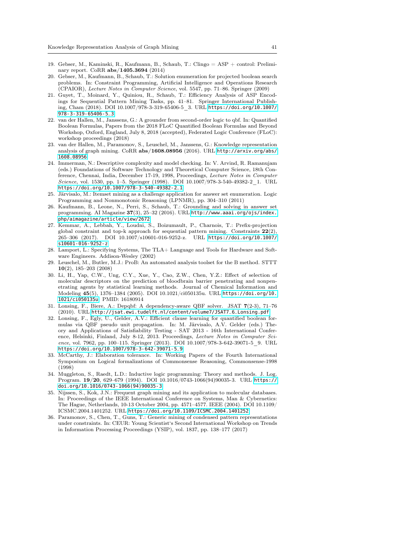- <span id="page-40-14"></span>19. Gebser, M., Kaminski, R., Kaufmann, B., Schaub, T.: Clingo = ASP + control: Preliminary report. CoRR abs/1405.3694 (2014)
- <span id="page-40-9"></span>20. Gebser, M., Kaufmann, B., Schaub, T.: Solution enumeration for projected boolean search problems. In: Constraint Programming, Artificial Intelligence and Operations Research (CPAIOR), Lecture Notes in Computer Science, vol. 5547, pp. 71–86. Springer (2009)
- <span id="page-40-4"></span>21. Guyet, T., Moinard, Y., Quiniou, R., Schaub, T.: Efficiency Analysis of ASP Encodings for Sequential Pattern Mining Tasks, pp. 41–81. Springer International Publishing, Cham (2018). DOI 10.1007/978-3-319-65406-5\_3. URL [https://doi.org/10.1007/](https://doi.org/10.1007/978-3-319-65406-5_3) [978-3-319-65406-5\\_3](https://doi.org/10.1007/978-3-319-65406-5_3)
- <span id="page-40-17"></span>22. van der Hallen, M., Janssens, G.: A grounder from second-order logic to qbf. In: Quantified Boolean Formulas, Papers from the 2018 FLoC Quantified Boolean Formulas and Beyond Workshop, Oxford, England, July 8, 2018 (accepted), Federated Logic Conference (FLoC): workshop proceedings (2018)
- <span id="page-40-7"></span>23. van der Hallen, M., Paramonov, S., Leuschel, M., Janssens, G.: Knowledge representation analysis of graph mining. CoRR abs/1608.08956 (2016). URL [http://arxiv.org/abs/](http://arxiv.org/abs/1608.08956) [1608.08956](http://arxiv.org/abs/1608.08956)
- <span id="page-40-8"></span>24. Immerman, N.: Descriptive complexity and model checking. In: V. Arvind, R. Ramanujam (eds.) Foundations of Software Technology and Theoretical Computer Science, 18th Conference, Chennai, India, December 17-19, 1998, Proceedings, Lecture Notes in Computer Science, vol. 1530, pp. 1–5. Springer (1998). DOI 10.1007/978-3-540-49382-2\_1. URL [https://doi.org/10.1007/978-3-540-49382-2\\_1](https://doi.org/10.1007/978-3-540-49382-2_1)
- <span id="page-40-2"></span>25. Järvisalo, M.: Itemset mining as a challenge application for answer set enumeration. Logic Programming and Nonmonotonic Reasoning (LPNMR), pp. 304–310 (2011)
- <span id="page-40-11"></span>26. Kaufmann, B., Leone, N., Perri, S., Schaub, T.: Grounding and solving in answer set programming. AI Magazine 37(3), 25–32 (2016). URL [http://www.aaai.org/ojs/index.](http://www.aaai.org/ojs/index.php/aimagazine/article/view/2672) [php/aimagazine/article/view/2672](http://www.aaai.org/ojs/index.php/aimagazine/article/view/2672)
- <span id="page-40-15"></span>27. Kemmar, A., Lebbah, Y., Loudni, S., Boizumault, P., Charnois, T.: Prefix-projection global constraint and top-k approach for sequential pattern mining. Constraints  $22(2)$ , 265–306 (2017). DOI 10.1007/s10601-016-9252-z. URL [https://doi.org/10.1007/](https://doi.org/10.1007/s10601-016-9252-z) [s10601-016-9252-z](https://doi.org/10.1007/s10601-016-9252-z)
- <span id="page-40-5"></span>28. Lamport, L.: Specifying Systems, The TLA+ Language and Tools for Hardware and Software Engineers. Addison-Wesley (2002)
- <span id="page-40-6"></span>29. Leuschel, M., Butler, M.J.: ProB: An automated analysis toolset for the B method. STTT 10(2), 185–203 (2008)
- <span id="page-40-16"></span>30. Li, H., Yap, C.W., Ung, C.Y., Xue, Y., Cao, Z.W., Chen, Y.Z.: Effect of selection of molecular descriptors on the prediction of bloodbrain barrier penetrating and nonpenetrating agents by statistical learning methods. Journal of Chemical Information and Modeling 45(5), 1376–1384 (2005). DOI 10.1021/ci050135u. URL [https://doi.org/10.](https://doi.org/10.1021/ci050135u) [1021/ci050135u](https://doi.org/10.1021/ci050135u). PMID: 16180914
- <span id="page-40-12"></span>31. Lonsing, F., Biere, A.: Depqbf: A dependency-aware QBF solver. JSAT 7(2-3), 71–76 (2010). URL [http://jsat.ewi.tudelft.nl/content/volume7/JSAT7\\_6\\_Lonsing.pdf](http://jsat.ewi.tudelft.nl/content/volume7/JSAT7_6_Lonsing.pdf)
- <span id="page-40-13"></span>32. Lonsing, F., Egly, U., Gelder, A.V.: Efficient clause learning for quantified boolean formulas via QBF pseudo unit propagation. In: M. Järvisalo, A.V. Gelder (eds.) Theory and Applications of Satisfiability Testing - SAT 2013 - 16th International Conference, Helsinki, Finland, July 8-12, 2013. Proceedings, Lecture Notes in Computer Science, vol. 7962, pp. 100–115. Springer (2013). DOI 10.1007/978-3-642-39071-5\_9. URL [https://doi.org/10.1007/978-3-642-39071-5\\_9](https://doi.org/10.1007/978-3-642-39071-5_9)
- <span id="page-40-0"></span>33. McCarthy, J.: Elaboration tolerance. In: Working Papers of the Fourth International Symposium on Logical formalizations of Commonsense Reasoning, Commonsense-1998 (1998)
- <span id="page-40-3"></span>34. Muggleton, S., Raedt, L.D.: Inductive logic programming: Theory and methods. J. Log. Program. 19/20, 629–679 (1994). DOI 10.1016/0743-1066(94)90035-3. URL [https://](https://doi.org/10.1016/0743-1066(94)90035-3) [doi.org/10.1016/0743-1066\(94\)90035-3](https://doi.org/10.1016/0743-1066(94)90035-3)
- <span id="page-40-1"></span>35. Nijssen, S., Kok, J.N.: Frequent graph mining and its application to molecular databases. In: Proceedings of the IEEE International Conference on Systems, Man & Cybernetics: The Hague, Netherlands, 10-13 October 2004, pp. 4571–4577. IEEE (2004). DOI 10.1109/ ICSMC.2004.1401252. URL <https://doi.org/10.1109/ICSMC.2004.1401252>
- <span id="page-40-10"></span>36. Paramonov, S., Chen, T., Guns, T.: Generic mining of condensed pattern representations under constraints. In: CEUR: Young Scientist's Second International Workshop on Trends in Information Processing Proceedings (YSIP), vol. 1837, pp. 138–177 (2017)